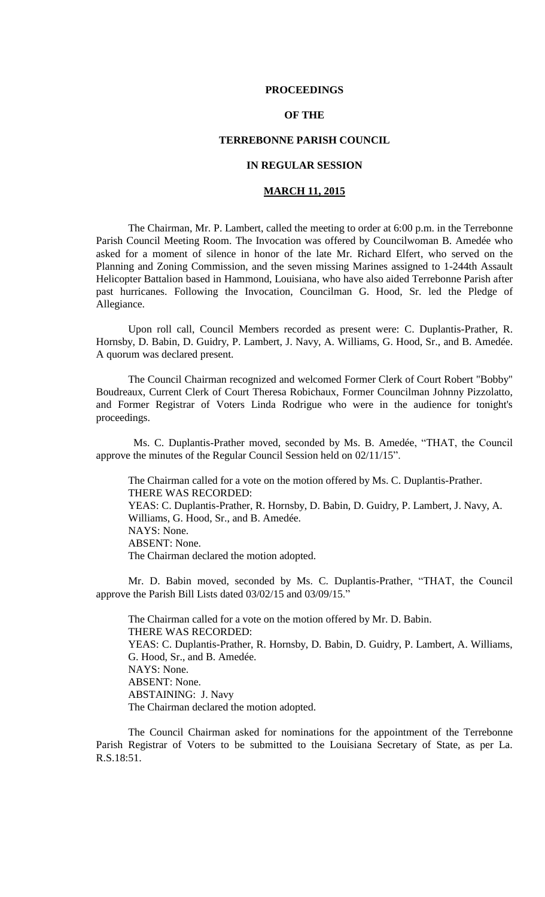### **PROCEEDINGS**

## **OF THE**

### **TERREBONNE PARISH COUNCIL**

### **IN REGULAR SESSION**

## **MARCH 11, 2015**

The Chairman, Mr. P. Lambert, called the meeting to order at 6:00 p.m. in the Terrebonne Parish Council Meeting Room. The Invocation was offered by Councilwoman B. Amedée who asked for a moment of silence in honor of the late Mr. Richard Elfert, who served on the Planning and Zoning Commission, and the seven missing Marines assigned to 1-244th Assault Helicopter Battalion based in Hammond, Louisiana, who have also aided Terrebonne Parish after past hurricanes. Following the Invocation, Councilman G. Hood, Sr. led the Pledge of Allegiance.

Upon roll call, Council Members recorded as present were: C. Duplantis-Prather, R. Hornsby, D. Babin, D. Guidry, P. Lambert, J. Navy, A. Williams, G. Hood, Sr., and B. Amedée. A quorum was declared present.

The Council Chairman recognized and welcomed Former Clerk of Court Robert "Bobby" Boudreaux, Current Clerk of Court Theresa Robichaux, Former Councilman Johnny Pizzolatto, and Former Registrar of Voters Linda Rodrigue who were in the audience for tonight's proceedings.

 Ms. C. Duplantis-Prather moved, seconded by Ms. B. Amedée, "THAT, the Council approve the minutes of the Regular Council Session held on 02/11/15".

The Chairman called for a vote on the motion offered by Ms. C. Duplantis-Prather. THERE WAS RECORDED: YEAS: C. Duplantis-Prather, R. Hornsby, D. Babin, D. Guidry, P. Lambert, J. Navy, A. Williams, G. Hood, Sr., and B. Amedée. NAYS: None. ABSENT: None. The Chairman declared the motion adopted.

Mr. D. Babin moved, seconded by Ms. C. Duplantis-Prather, "THAT, the Council approve the Parish Bill Lists dated 03/02/15 and 03/09/15."

The Chairman called for a vote on the motion offered by Mr. D. Babin. THERE WAS RECORDED: YEAS: C. Duplantis-Prather, R. Hornsby, D. Babin, D. Guidry, P. Lambert, A. Williams, G. Hood, Sr., and B. Amedée. NAYS: None. ABSENT: None. ABSTAINING: J. Navy The Chairman declared the motion adopted.

The Council Chairman asked for nominations for the appointment of the Terrebonne Parish Registrar of Voters to be submitted to the Louisiana Secretary of State, as per La. R.S.18:51.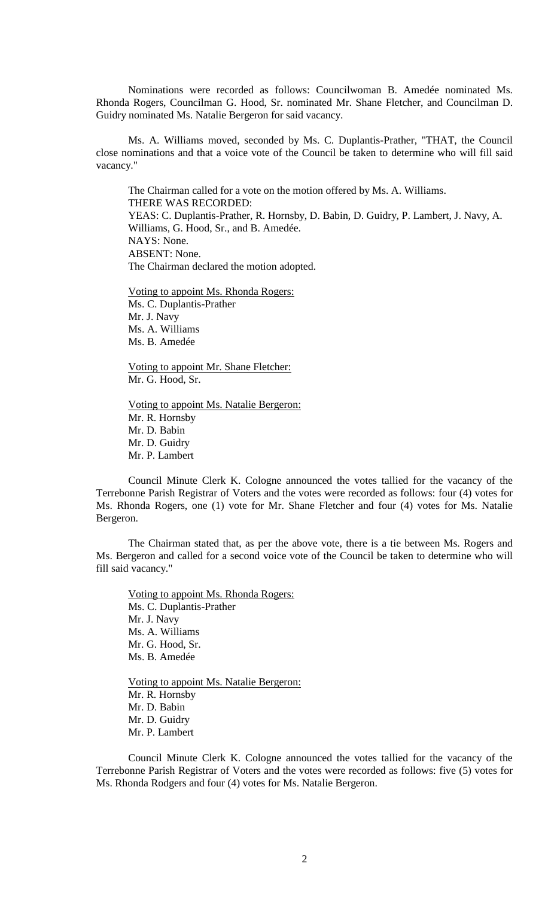Nominations were recorded as follows: Councilwoman B. Amedée nominated Ms. Rhonda Rogers, Councilman G. Hood, Sr. nominated Mr. Shane Fletcher, and Councilman D. Guidry nominated Ms. Natalie Bergeron for said vacancy.

Ms. A. Williams moved, seconded by Ms. C. Duplantis-Prather, "THAT, the Council close nominations and that a voice vote of the Council be taken to determine who will fill said vacancy."

The Chairman called for a vote on the motion offered by Ms. A. Williams. THERE WAS RECORDED: YEAS: C. Duplantis-Prather, R. Hornsby, D. Babin, D. Guidry, P. Lambert, J. Navy, A. Williams, G. Hood, Sr., and B. Amedée. NAYS: None. ABSENT: None. The Chairman declared the motion adopted.

Voting to appoint Ms. Rhonda Rogers: Ms. C. Duplantis-Prather Mr. J. Navy Ms. A. Williams Ms. B. Amedée

Voting to appoint Mr. Shane Fletcher: Mr. G. Hood, Sr.

Voting to appoint Ms. Natalie Bergeron: Mr. R. Hornsby Mr. D. Babin Mr. D. Guidry Mr. P. Lambert

Council Minute Clerk K. Cologne announced the votes tallied for the vacancy of the Terrebonne Parish Registrar of Voters and the votes were recorded as follows: four (4) votes for Ms. Rhonda Rogers, one (1) vote for Mr. Shane Fletcher and four (4) votes for Ms. Natalie Bergeron.

The Chairman stated that, as per the above vote, there is a tie between Ms. Rogers and Ms. Bergeron and called for a second voice vote of the Council be taken to determine who will fill said vacancy."

Voting to appoint Ms. Rhonda Rogers: Ms. C. Duplantis-Prather Mr. J. Navy Ms. A. Williams Mr. G. Hood, Sr. Ms. B. Amedée

Voting to appoint Ms. Natalie Bergeron: Mr. R. Hornsby Mr. D. Babin Mr. D. Guidry Mr. P. Lambert

Council Minute Clerk K. Cologne announced the votes tallied for the vacancy of the Terrebonne Parish Registrar of Voters and the votes were recorded as follows: five (5) votes for Ms. Rhonda Rodgers and four (4) votes for Ms. Natalie Bergeron.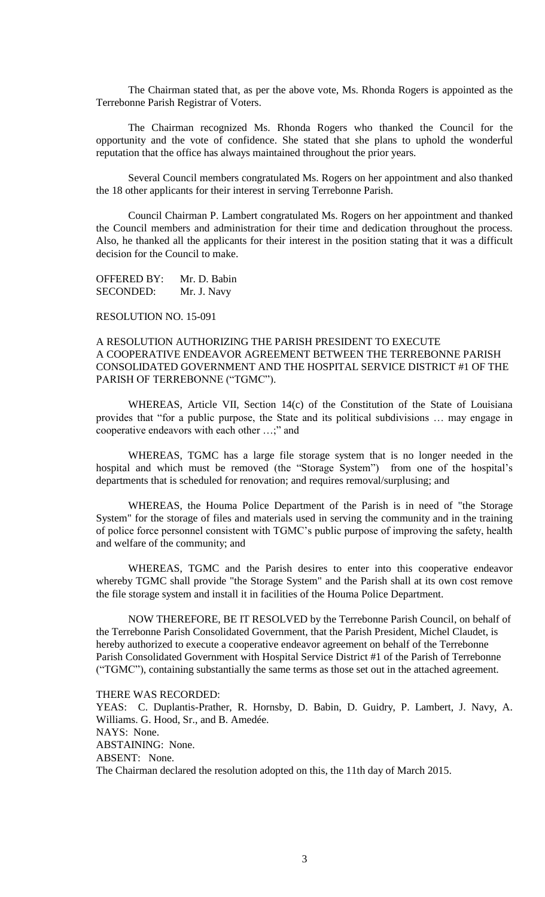The Chairman stated that, as per the above vote, Ms. Rhonda Rogers is appointed as the Terrebonne Parish Registrar of Voters.

The Chairman recognized Ms. Rhonda Rogers who thanked the Council for the opportunity and the vote of confidence. She stated that she plans to uphold the wonderful reputation that the office has always maintained throughout the prior years.

Several Council members congratulated Ms. Rogers on her appointment and also thanked the 18 other applicants for their interest in serving Terrebonne Parish.

Council Chairman P. Lambert congratulated Ms. Rogers on her appointment and thanked the Council members and administration for their time and dedication throughout the process. Also, he thanked all the applicants for their interest in the position stating that it was a difficult decision for the Council to make.

OFFERED BY: Mr. D. Babin SECONDED: Mr. J. Navy

RESOLUTION NO. 15-091

## A RESOLUTION AUTHORIZING THE PARISH PRESIDENT TO EXECUTE A COOPERATIVE ENDEAVOR AGREEMENT BETWEEN THE TERREBONNE PARISH CONSOLIDATED GOVERNMENT AND THE HOSPITAL SERVICE DISTRICT #1 OF THE PARISH OF TERREBONNE ("TGMC").

WHEREAS, Article VII, Section 14(c) of the Constitution of the State of Louisiana provides that "for a public purpose, the State and its political subdivisions … may engage in cooperative endeavors with each other …;" and

WHEREAS, TGMC has a large file storage system that is no longer needed in the hospital and which must be removed (the "Storage System") from one of the hospital's departments that is scheduled for renovation; and requires removal/surplusing; and

WHEREAS, the Houma Police Department of the Parish is in need of "the Storage System" for the storage of files and materials used in serving the community and in the training of police force personnel consistent with TGMC's public purpose of improving the safety, health and welfare of the community; and

WHEREAS, TGMC and the Parish desires to enter into this cooperative endeavor whereby TGMC shall provide "the Storage System" and the Parish shall at its own cost remove the file storage system and install it in facilities of the Houma Police Department.

NOW THEREFORE, BE IT RESOLVED by the Terrebonne Parish Council, on behalf of the Terrebonne Parish Consolidated Government, that the Parish President, Michel Claudet, is hereby authorized to execute a cooperative endeavor agreement on behalf of the Terrebonne Parish Consolidated Government with Hospital Service District #1 of the Parish of Terrebonne ("TGMC"), containing substantially the same terms as those set out in the attached agreement.

THERE WAS RECORDED:

YEAS: C. Duplantis-Prather, R. Hornsby, D. Babin, D. Guidry, P. Lambert, J. Navy, A. Williams. G. Hood, Sr., and B. Amedée. NAYS: None. ABSTAINING: None. ABSENT: None. The Chairman declared the resolution adopted on this, the 11th day of March 2015.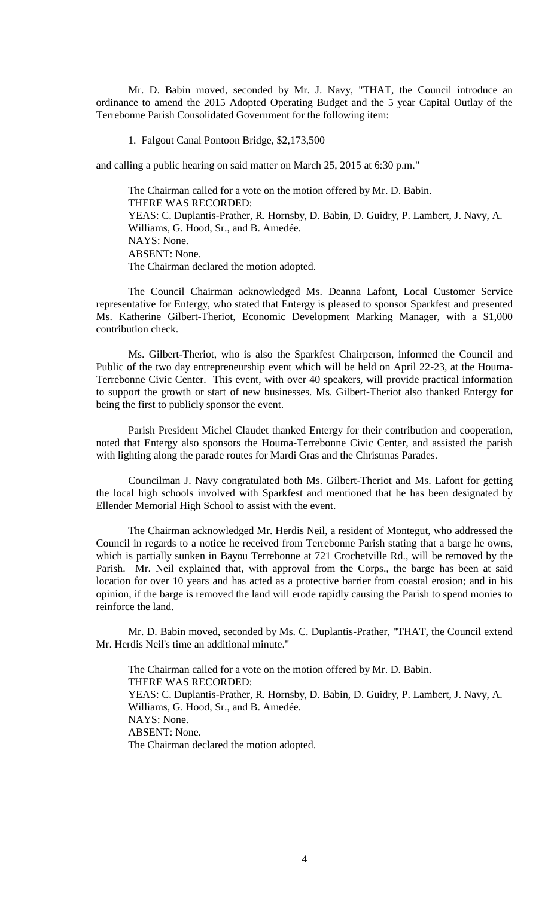Mr. D. Babin moved, seconded by Mr. J. Navy, "THAT, the Council introduce an ordinance to amend the 2015 Adopted Operating Budget and the 5 year Capital Outlay of the Terrebonne Parish Consolidated Government for the following item:

1. Falgout Canal Pontoon Bridge, \$2,173,500

and calling a public hearing on said matter on March 25, 2015 at 6:30 p.m."

The Chairman called for a vote on the motion offered by Mr. D. Babin. THERE WAS RECORDED: YEAS: C. Duplantis-Prather, R. Hornsby, D. Babin, D. Guidry, P. Lambert, J. Navy, A. Williams, G. Hood, Sr., and B. Amedée. NAYS: None. ABSENT: None. The Chairman declared the motion adopted.

The Council Chairman acknowledged Ms. Deanna Lafont, Local Customer Service representative for Entergy, who stated that Entergy is pleased to sponsor Sparkfest and presented Ms. Katherine Gilbert-Theriot, Economic Development Marking Manager, with a \$1,000 contribution check.

Ms. Gilbert-Theriot, who is also the Sparkfest Chairperson, informed the Council and Public of the two day entrepreneurship event which will be held on April 22-23, at the Houma-Terrebonne Civic Center. This event, with over 40 speakers, will provide practical information to support the growth or start of new businesses. Ms. Gilbert-Theriot also thanked Entergy for being the first to publicly sponsor the event.

Parish President Michel Claudet thanked Entergy for their contribution and cooperation, noted that Entergy also sponsors the Houma-Terrebonne Civic Center, and assisted the parish with lighting along the parade routes for Mardi Gras and the Christmas Parades.

Councilman J. Navy congratulated both Ms. Gilbert-Theriot and Ms. Lafont for getting the local high schools involved with Sparkfest and mentioned that he has been designated by Ellender Memorial High School to assist with the event.

The Chairman acknowledged Mr. Herdis Neil, a resident of Montegut, who addressed the Council in regards to a notice he received from Terrebonne Parish stating that a barge he owns, which is partially sunken in Bayou Terrebonne at 721 Crochetville Rd., will be removed by the Parish. Mr. Neil explained that, with approval from the Corps., the barge has been at said location for over 10 years and has acted as a protective barrier from coastal erosion; and in his opinion, if the barge is removed the land will erode rapidly causing the Parish to spend monies to reinforce the land.

Mr. D. Babin moved, seconded by Ms. C. Duplantis-Prather, "THAT, the Council extend Mr. Herdis Neil's time an additional minute."

The Chairman called for a vote on the motion offered by Mr. D. Babin. THERE WAS RECORDED: YEAS: C. Duplantis-Prather, R. Hornsby, D. Babin, D. Guidry, P. Lambert, J. Navy, A. Williams, G. Hood, Sr., and B. Amedée. NAYS: None. ABSENT: None. The Chairman declared the motion adopted.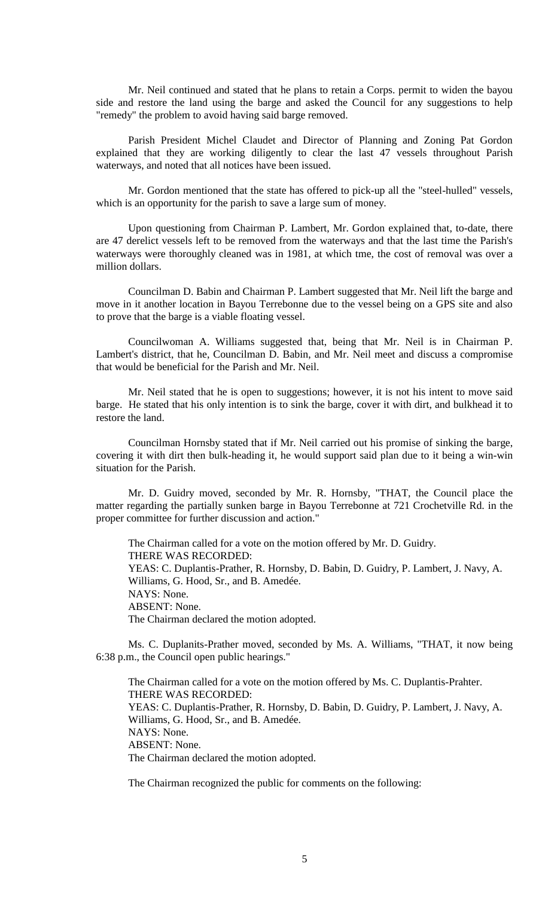Mr. Neil continued and stated that he plans to retain a Corps. permit to widen the bayou side and restore the land using the barge and asked the Council for any suggestions to help "remedy" the problem to avoid having said barge removed.

Parish President Michel Claudet and Director of Planning and Zoning Pat Gordon explained that they are working diligently to clear the last 47 vessels throughout Parish waterways, and noted that all notices have been issued.

Mr. Gordon mentioned that the state has offered to pick-up all the "steel-hulled" vessels, which is an opportunity for the parish to save a large sum of money.

Upon questioning from Chairman P. Lambert, Mr. Gordon explained that, to-date, there are 47 derelict vessels left to be removed from the waterways and that the last time the Parish's waterways were thoroughly cleaned was in 1981, at which tme, the cost of removal was over a million dollars.

Councilman D. Babin and Chairman P. Lambert suggested that Mr. Neil lift the barge and move in it another location in Bayou Terrebonne due to the vessel being on a GPS site and also to prove that the barge is a viable floating vessel.

Councilwoman A. Williams suggested that, being that Mr. Neil is in Chairman P. Lambert's district, that he, Councilman D. Babin, and Mr. Neil meet and discuss a compromise that would be beneficial for the Parish and Mr. Neil.

Mr. Neil stated that he is open to suggestions; however, it is not his intent to move said barge. He stated that his only intention is to sink the barge, cover it with dirt, and bulkhead it to restore the land.

Councilman Hornsby stated that if Mr. Neil carried out his promise of sinking the barge, covering it with dirt then bulk-heading it, he would support said plan due to it being a win-win situation for the Parish.

Mr. D. Guidry moved, seconded by Mr. R. Hornsby, "THAT, the Council place the matter regarding the partially sunken barge in Bayou Terrebonne at 721 Crochetville Rd. in the proper committee for further discussion and action."

The Chairman called for a vote on the motion offered by Mr. D. Guidry. THERE WAS RECORDED: YEAS: C. Duplantis-Prather, R. Hornsby, D. Babin, D. Guidry, P. Lambert, J. Navy, A. Williams, G. Hood, Sr., and B. Amedée. NAYS: None. ABSENT: None. The Chairman declared the motion adopted.

Ms. C. Duplanits-Prather moved, seconded by Ms. A. Williams, "THAT, it now being 6:38 p.m., the Council open public hearings."

The Chairman called for a vote on the motion offered by Ms. C. Duplantis-Prahter. THERE WAS RECORDED: YEAS: C. Duplantis-Prather, R. Hornsby, D. Babin, D. Guidry, P. Lambert, J. Navy, A. Williams, G. Hood, Sr., and B. Amedée. NAYS: None. ABSENT: None. The Chairman declared the motion adopted.

The Chairman recognized the public for comments on the following: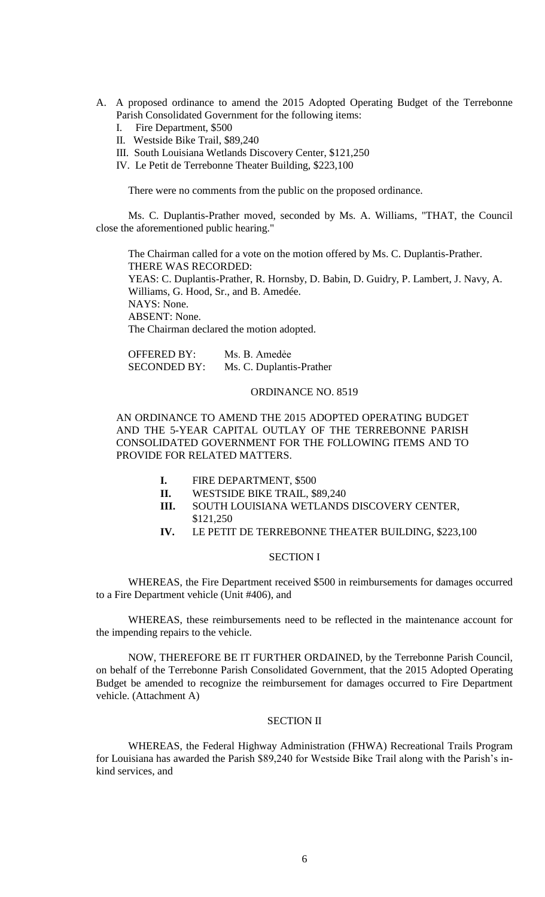- A. A proposed ordinance to amend the 2015 Adopted Operating Budget of the Terrebonne Parish Consolidated Government for the following items:
	- I. Fire Department, \$500
	- II. Westside Bike Trail, \$89,240
	- III. South Louisiana Wetlands Discovery Center, \$121,250
	- IV. Le Petit de Terrebonne Theater Building, \$223,100

There were no comments from the public on the proposed ordinance.

Ms. C. Duplantis-Prather moved, seconded by Ms. A. Williams, "THAT, the Council close the aforementioned public hearing."

The Chairman called for a vote on the motion offered by Ms. C. Duplantis-Prather. THERE WAS RECORDED: YEAS: C. Duplantis-Prather, R. Hornsby, D. Babin, D. Guidry, P. Lambert, J. Navy, A. Williams, G. Hood, Sr., and B. Amedée. NAYS: None. ABSENT: None. The Chairman declared the motion adopted.

| <b>OFFERED BY:</b>  | Ms. B. Amedée            |
|---------------------|--------------------------|
| <b>SECONDED BY:</b> | Ms. C. Duplantis-Prather |

### ORDINANCE NO. 8519

AN ORDINANCE TO AMEND THE 2015 ADOPTED OPERATING BUDGET AND THE 5-YEAR CAPITAL OUTLAY OF THE TERREBONNE PARISH CONSOLIDATED GOVERNMENT FOR THE FOLLOWING ITEMS AND TO PROVIDE FOR RELATED MATTERS.

- **I.** FIRE DEPARTMENT, \$500
- **II.** WESTSIDE BIKE TRAIL, \$89,240
- **III.** SOUTH LOUISIANA WETLANDS DISCOVERY CENTER, \$121,250
- **IV.** LE PETIT DE TERREBONNE THEATER BUILDING, \$223,100

### SECTION I

WHEREAS, the Fire Department received \$500 in reimbursements for damages occurred to a Fire Department vehicle (Unit #406), and

WHEREAS, these reimbursements need to be reflected in the maintenance account for the impending repairs to the vehicle.

NOW, THEREFORE BE IT FURTHER ORDAINED, by the Terrebonne Parish Council, on behalf of the Terrebonne Parish Consolidated Government, that the 2015 Adopted Operating Budget be amended to recognize the reimbursement for damages occurred to Fire Department vehicle. (Attachment A)

### SECTION II

WHEREAS, the Federal Highway Administration (FHWA) Recreational Trails Program for Louisiana has awarded the Parish \$89,240 for Westside Bike Trail along with the Parish's inkind services, and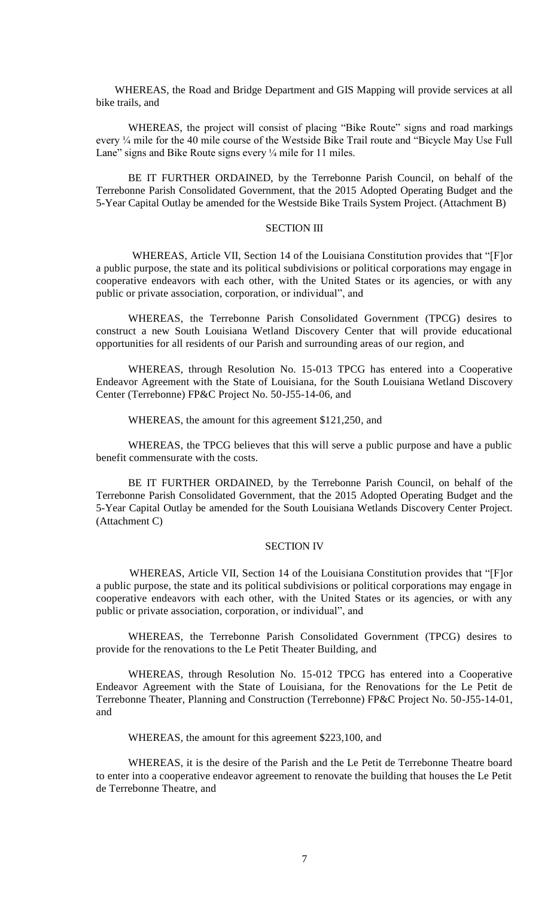WHEREAS, the Road and Bridge Department and GIS Mapping will provide services at all bike trails, and

WHEREAS, the project will consist of placing "Bike Route" signs and road markings every ¼ mile for the 40 mile course of the Westside Bike Trail route and "Bicycle May Use Full Lane" signs and Bike Route signs every  $\frac{1}{4}$  mile for 11 miles.

BE IT FURTHER ORDAINED, by the Terrebonne Parish Council, on behalf of the Terrebonne Parish Consolidated Government, that the 2015 Adopted Operating Budget and the 5-Year Capital Outlay be amended for the Westside Bike Trails System Project. (Attachment B)

## SECTION III

 WHEREAS, Article VII, Section 14 of the Louisiana Constitution provides that "[F]or a public purpose, the state and its political subdivisions or political corporations may engage in cooperative endeavors with each other, with the United States or its agencies, or with any public or private association, corporation, or individual", and

WHEREAS, the Terrebonne Parish Consolidated Government (TPCG) desires to construct a new South Louisiana Wetland Discovery Center that will provide educational opportunities for all residents of our Parish and surrounding areas of our region, and

WHEREAS, through Resolution No. 15-013 TPCG has entered into a Cooperative Endeavor Agreement with the State of Louisiana, for the South Louisiana Wetland Discovery Center (Terrebonne) FP&C Project No. 50-J55-14-06, and

WHEREAS, the amount for this agreement \$121,250, and

WHEREAS, the TPCG believes that this will serve a public purpose and have a public benefit commensurate with the costs.

BE IT FURTHER ORDAINED, by the Terrebonne Parish Council, on behalf of the Terrebonne Parish Consolidated Government, that the 2015 Adopted Operating Budget and the 5-Year Capital Outlay be amended for the South Louisiana Wetlands Discovery Center Project. (Attachment C)

#### SECTION IV

 WHEREAS, Article VII, Section 14 of the Louisiana Constitution provides that "[F]or a public purpose, the state and its political subdivisions or political corporations may engage in cooperative endeavors with each other, with the United States or its agencies, or with any public or private association, corporation, or individual", and

WHEREAS, the Terrebonne Parish Consolidated Government (TPCG) desires to provide for the renovations to the Le Petit Theater Building, and

WHEREAS, through Resolution No. 15-012 TPCG has entered into a Cooperative Endeavor Agreement with the State of Louisiana, for the Renovations for the Le Petit de Terrebonne Theater, Planning and Construction (Terrebonne) FP&C Project No. 50-J55-14-01, and

WHEREAS, the amount for this agreement \$223,100, and

WHEREAS, it is the desire of the Parish and the Le Petit de Terrebonne Theatre board to enter into a cooperative endeavor agreement to renovate the building that houses the Le Petit de Terrebonne Theatre, and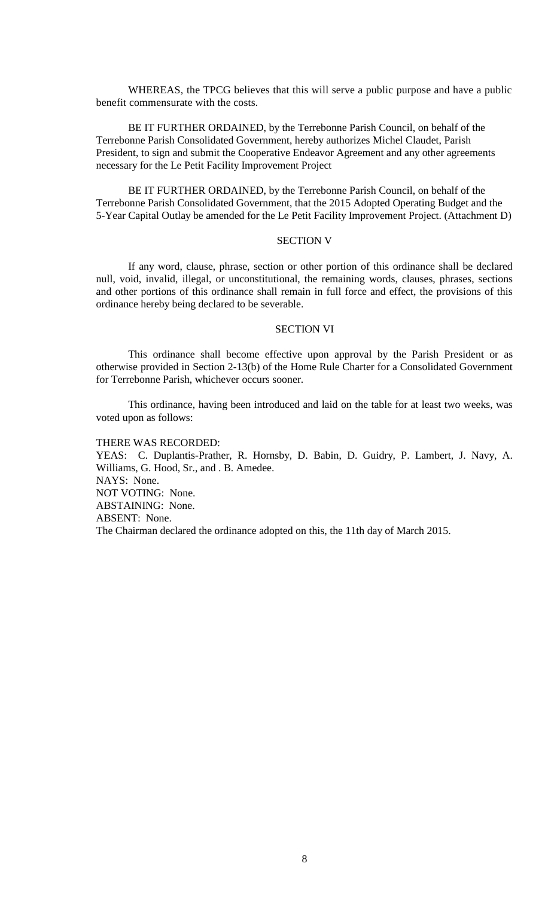WHEREAS, the TPCG believes that this will serve a public purpose and have a public benefit commensurate with the costs.

BE IT FURTHER ORDAINED, by the Terrebonne Parish Council, on behalf of the Terrebonne Parish Consolidated Government, hereby authorizes Michel Claudet, Parish President, to sign and submit the Cooperative Endeavor Agreement and any other agreements necessary for the Le Petit Facility Improvement Project

BE IT FURTHER ORDAINED, by the Terrebonne Parish Council, on behalf of the Terrebonne Parish Consolidated Government, that the 2015 Adopted Operating Budget and the 5-Year Capital Outlay be amended for the Le Petit Facility Improvement Project. (Attachment D)

## SECTION V

If any word, clause, phrase, section or other portion of this ordinance shall be declared null, void, invalid, illegal, or unconstitutional, the remaining words, clauses, phrases, sections and other portions of this ordinance shall remain in full force and effect, the provisions of this ordinance hereby being declared to be severable.

### SECTION VI

This ordinance shall become effective upon approval by the Parish President or as otherwise provided in Section 2-13(b) of the Home Rule Charter for a Consolidated Government for Terrebonne Parish, whichever occurs sooner.

This ordinance, having been introduced and laid on the table for at least two weeks, was voted upon as follows:

THERE WAS RECORDED: YEAS: C. Duplantis-Prather, R. Hornsby, D. Babin, D. Guidry, P. Lambert, J. Navy, A. Williams, G. Hood, Sr., and . B. Amedee. NAYS: None. NOT VOTING: None. ABSTAINING: None. ABSENT: None. The Chairman declared the ordinance adopted on this, the 11th day of March 2015.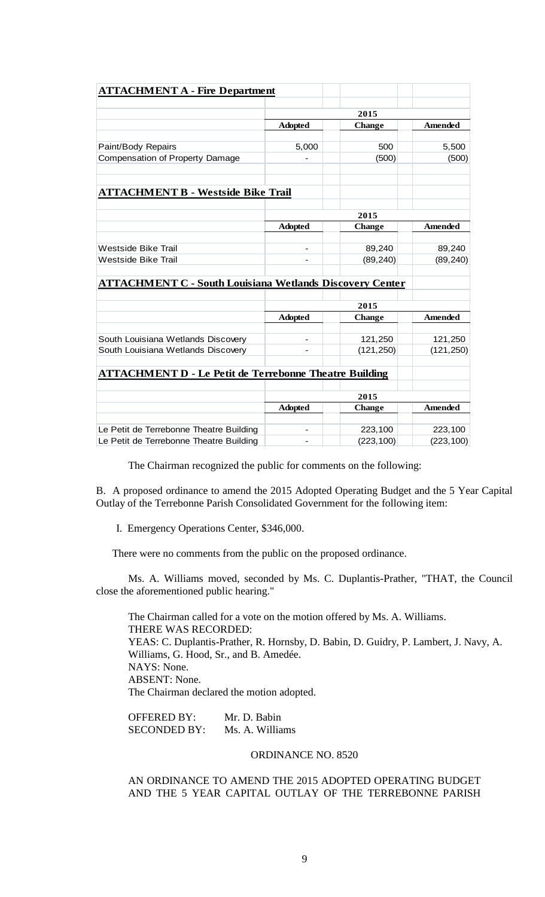| <b>ATTACHMENT A - Fire Department</b>                                              |                |               |                     |  |
|------------------------------------------------------------------------------------|----------------|---------------|---------------------|--|
|                                                                                    | 2015           |               |                     |  |
|                                                                                    | <b>Adopted</b> | <b>Change</b> | <b>Amended</b>      |  |
|                                                                                    |                |               |                     |  |
| Paint/Body Repairs                                                                 | 5,000          | 500           | 5,500               |  |
| Compensation of Property Damage                                                    |                | (500)         | (500)               |  |
| <b>ATTACHMENT B - Westside Bike Trail</b>                                          |                |               |                     |  |
|                                                                                    |                |               |                     |  |
|                                                                                    | 2015           |               |                     |  |
|                                                                                    | <b>Adopted</b> | <b>Change</b> | <b>Amended</b>      |  |
| Westside Bike Trail                                                                |                | 89,240        |                     |  |
| <b>Westside Bike Trail</b>                                                         |                | (89, 240)     | 89,240<br>(89, 240) |  |
|                                                                                    |                |               |                     |  |
| <b>ATTACHMENT C - South Louisiana Wetlands Discovery Center</b>                    |                |               |                     |  |
|                                                                                    |                |               |                     |  |
|                                                                                    | 2015           |               |                     |  |
|                                                                                    | <b>Adopted</b> | <b>Change</b> | <b>Amended</b>      |  |
| South Louisiana Wetlands Discovery                                                 |                | 121,250       | 121,250             |  |
| South Louisiana Wetlands Discovery                                                 |                | (121, 250)    | (121, 250)          |  |
| <b>ATTACHMENT D - Le Petit de Terrebonne Theatre Building</b>                      |                |               |                     |  |
|                                                                                    |                |               |                     |  |
|                                                                                    | 2015           |               |                     |  |
|                                                                                    | <b>Adopted</b> | <b>Change</b> | Amended             |  |
|                                                                                    |                |               |                     |  |
| Le Petit de Terrebonne Theatre Building<br>Le Petit de Terrebonne Theatre Building | -              | 223,100       | 223,100             |  |
|                                                                                    |                | (223, 100)    | (223, 100)          |  |

The Chairman recognized the public for comments on the following:

B. A proposed ordinance to amend the 2015 Adopted Operating Budget and the 5 Year Capital Outlay of the Terrebonne Parish Consolidated Government for the following item:

I. Emergency Operations Center, \$346,000.

There were no comments from the public on the proposed ordinance.

Ms. A. Williams moved, seconded by Ms. C. Duplantis-Prather, "THAT, the Council close the aforementioned public hearing."

The Chairman called for a vote on the motion offered by Ms. A. Williams. THERE WAS RECORDED: YEAS: C. Duplantis-Prather, R. Hornsby, D. Babin, D. Guidry, P. Lambert, J. Navy, A. Williams, G. Hood, Sr., and B. Amedée. NAYS: None. ABSENT: None. The Chairman declared the motion adopted.

OFFERED BY: Mr. D. Babin SECONDED BY: Ms. A. Williams

# ORDINANCE NO. 8520

AN ORDINANCE TO AMEND THE 2015 ADOPTED OPERATING BUDGET AND THE 5 YEAR CAPITAL OUTLAY OF THE TERREBONNE PARISH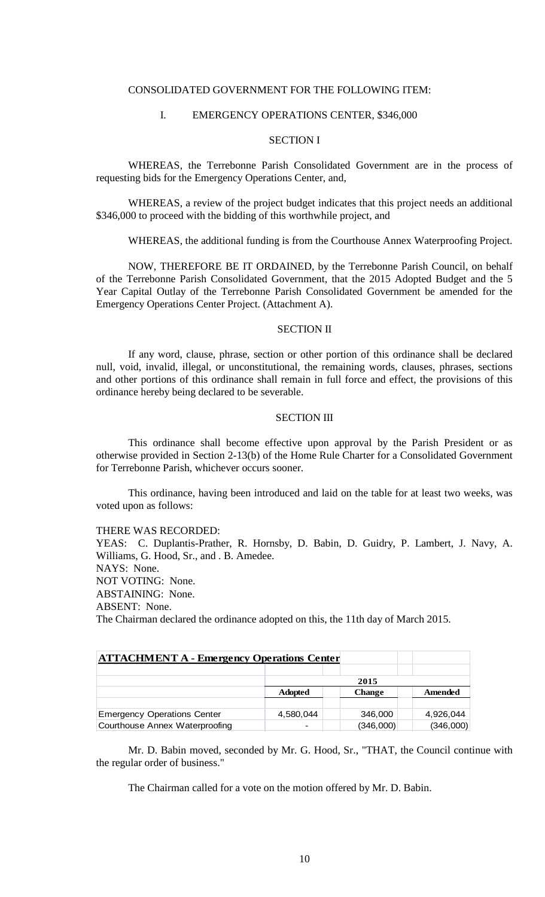### CONSOLIDATED GOVERNMENT FOR THE FOLLOWING ITEM:

### I. EMERGENCY OPERATIONS CENTER, \$346,000

### SECTION I

WHEREAS, the Terrebonne Parish Consolidated Government are in the process of requesting bids for the Emergency Operations Center, and,

WHEREAS, a review of the project budget indicates that this project needs an additional \$346,000 to proceed with the bidding of this worthwhile project, and

WHEREAS, the additional funding is from the Courthouse Annex Waterproofing Project.

NOW, THEREFORE BE IT ORDAINED, by the Terrebonne Parish Council, on behalf of the Terrebonne Parish Consolidated Government, that the 2015 Adopted Budget and the 5 Year Capital Outlay of the Terrebonne Parish Consolidated Government be amended for the Emergency Operations Center Project. (Attachment A).

#### SECTION II

If any word, clause, phrase, section or other portion of this ordinance shall be declared null, void, invalid, illegal, or unconstitutional, the remaining words, clauses, phrases, sections and other portions of this ordinance shall remain in full force and effect, the provisions of this ordinance hereby being declared to be severable.

### SECTION III

This ordinance shall become effective upon approval by the Parish President or as otherwise provided in Section 2-13(b) of the Home Rule Charter for a Consolidated Government for Terrebonne Parish, whichever occurs sooner.

This ordinance, having been introduced and laid on the table for at least two weeks, was voted upon as follows:

#### THERE WAS RECORDED:

YEAS: C. Duplantis-Prather, R. Hornsby, D. Babin, D. Guidry, P. Lambert, J. Navy, A. Williams, G. Hood, Sr., and . B. Amedee.

NAYS: None.

NOT VOTING: None.

ABSTAINING: None.

ABSENT: None.

The Chairman declared the ordinance adopted on this, the 11th day of March 2015.

| <b>ATTACHMENT A - Emergency Operations Center</b> |                |               |           |  |  |
|---------------------------------------------------|----------------|---------------|-----------|--|--|
|                                                   |                |               |           |  |  |
|                                                   | 2015           |               |           |  |  |
|                                                   | <b>Adopted</b> | <b>Change</b> | Amended   |  |  |
|                                                   |                |               |           |  |  |
| <b>Emergency Operations Center</b>                | 4,580,044      | 346,000       | 4,926,044 |  |  |
| Courthouse Annex Waterproofing                    |                | (346,000)     | (346,000) |  |  |

Mr. D. Babin moved, seconded by Mr. G. Hood, Sr., "THAT, the Council continue with the regular order of business."

The Chairman called for a vote on the motion offered by Mr. D. Babin.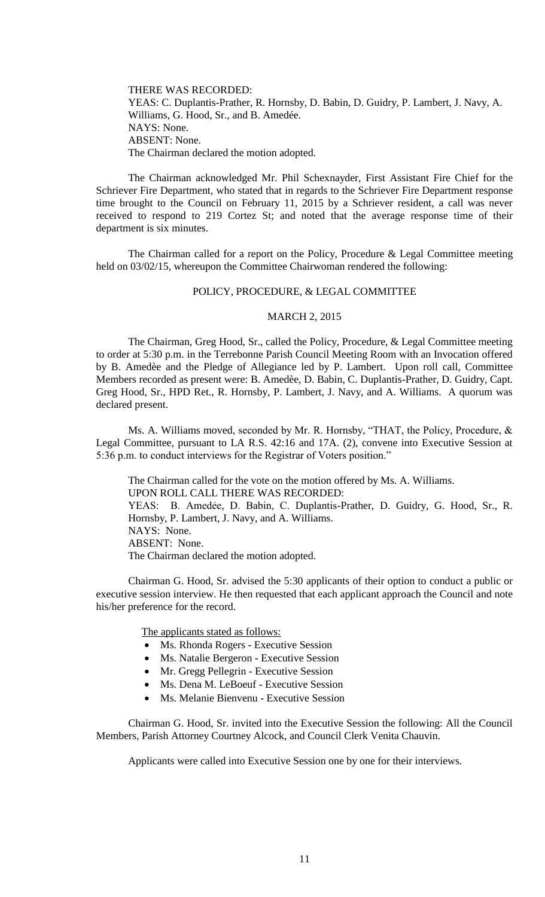THERE WAS RECORDED: YEAS: C. Duplantis-Prather, R. Hornsby, D. Babin, D. Guidry, P. Lambert, J. Navy, A. Williams, G. Hood, Sr., and B. Amedée. NAYS: None. ABSENT: None. The Chairman declared the motion adopted.

The Chairman acknowledged Mr. Phil Schexnayder, First Assistant Fire Chief for the Schriever Fire Department, who stated that in regards to the Schriever Fire Department response time brought to the Council on February 11, 2015 by a Schriever resident, a call was never received to respond to 219 Cortez St; and noted that the average response time of their department is six minutes.

The Chairman called for a report on the Policy, Procedure & Legal Committee meeting held on 03/02/15, whereupon the Committee Chairwoman rendered the following:

### POLICY, PROCEDURE, & LEGAL COMMITTEE

### MARCH 2, 2015

The Chairman, Greg Hood, Sr., called the Policy, Procedure, & Legal Committee meeting to order at 5:30 p.m. in the Terrebonne Parish Council Meeting Room with an Invocation offered by B. Amedèe and the Pledge of Allegiance led by P. Lambert. Upon roll call, Committee Members recorded as present were: B. Amedèe, D. Babin, C. Duplantis-Prather, D. Guidry, Capt. Greg Hood, Sr., HPD Ret., R. Hornsby, P. Lambert, J. Navy, and A. Williams. A quorum was declared present.

Ms. A. Williams moved, seconded by Mr. R. Hornsby, "THAT, the Policy, Procedure, & Legal Committee, pursuant to LA R.S. 42:16 and 17A. (2), convene into Executive Session at 5:36 p.m. to conduct interviews for the Registrar of Voters position."

The Chairman called for the vote on the motion offered by Ms. A. Williams. UPON ROLL CALL THERE WAS RECORDED: YEAS: B. Amedẻe, D. Babin, C. Duplantis-Prather, D. Guidry, G. Hood, Sr., R. Hornsby, P. Lambert, J. Navy, and A. Williams. NAYS: None. ABSENT: None. The Chairman declared the motion adopted.

Chairman G. Hood, Sr. advised the 5:30 applicants of their option to conduct a public or executive session interview. He then requested that each applicant approach the Council and note his/her preference for the record.

The applicants stated as follows:

- Ms. Rhonda Rogers Executive Session
- Ms. Natalie Bergeron Executive Session
- Mr. Gregg Pellegrin Executive Session
- Ms. Dena M. LeBoeuf Executive Session
- Ms. Melanie Bienvenu Executive Session

Chairman G. Hood, Sr. invited into the Executive Session the following: All the Council Members, Parish Attorney Courtney Alcock, and Council Clerk Venita Chauvin.

Applicants were called into Executive Session one by one for their interviews.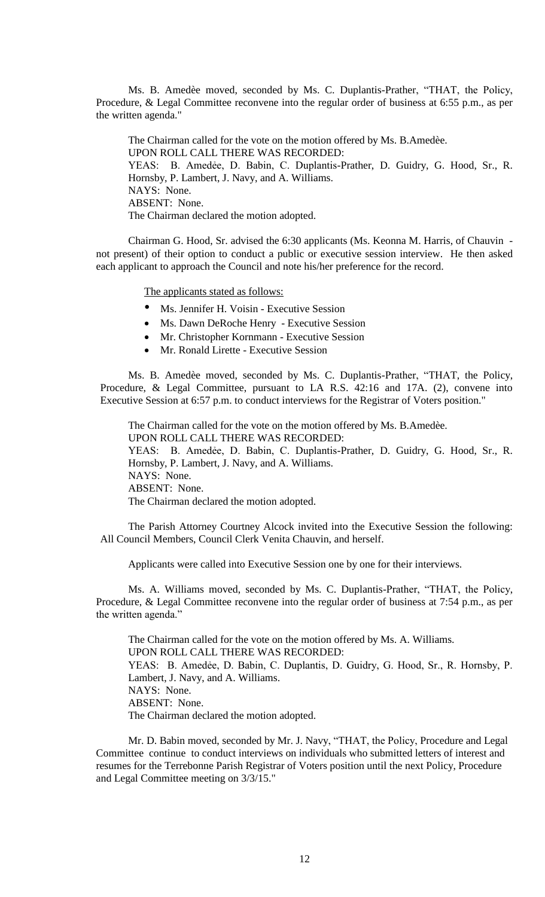Ms. B. Amedèe moved, seconded by Ms. C. Duplantis-Prather, "THAT, the Policy, Procedure, & Legal Committee reconvene into the regular order of business at 6:55 p.m., as per the written agenda."

The Chairman called for the vote on the motion offered by Ms. B.Amedèe. UPON ROLL CALL THERE WAS RECORDED: YEAS: B. Amedẻe, D. Babin, C. Duplantis-Prather, D. Guidry, G. Hood, Sr., R. Hornsby, P. Lambert, J. Navy, and A. Williams. NAYS: None. ABSENT: None. The Chairman declared the motion adopted.

Chairman G. Hood, Sr. advised the 6:30 applicants (Ms. Keonna M. Harris, of Chauvin not present) of their option to conduct a public or executive session interview. He then asked each applicant to approach the Council and note his/her preference for the record.

The applicants stated as follows:

- Ms. Jennifer H. Voisin Executive Session
- Ms. Dawn DeRoche Henry Executive Session
- Mr. Christopher Kornmann Executive Session
- Mr. Ronald Lirette Executive Session

Ms. B. Amedèe moved, seconded by Ms. C. Duplantis-Prather, "THAT, the Policy, Procedure, & Legal Committee, pursuant to LA R.S. 42:16 and 17A. (2), convene into Executive Session at 6:57 p.m. to conduct interviews for the Registrar of Voters position."

The Chairman called for the vote on the motion offered by Ms. B.Amedèe. UPON ROLL CALL THERE WAS RECORDED: YEAS: B. Amedẻe, D. Babin, C. Duplantis-Prather, D. Guidry, G. Hood, Sr., R. Hornsby, P. Lambert, J. Navy, and A. Williams. NAYS: None. ABSENT: None. The Chairman declared the motion adopted.

The Parish Attorney Courtney Alcock invited into the Executive Session the following: All Council Members, Council Clerk Venita Chauvin, and herself.

Applicants were called into Executive Session one by one for their interviews.

Ms. A. Williams moved, seconded by Ms. C. Duplantis-Prather, "THAT, the Policy, Procedure, & Legal Committee reconvene into the regular order of business at 7:54 p.m., as per the written agenda."

The Chairman called for the vote on the motion offered by Ms. A. Williams. UPON ROLL CALL THERE WAS RECORDED: YEAS: B. Amedėe, D. Babin, C. Duplantis, D. Guidry, G. Hood, Sr., R. Hornsby, P. Lambert, J. Navy, and A. Williams. NAYS: None. ABSENT: None. The Chairman declared the motion adopted.

Mr. D. Babin moved, seconded by Mr. J. Navy, "THAT, the Policy, Procedure and Legal Committee continue to conduct interviews on individuals who submitted letters of interest and resumes for the Terrebonne Parish Registrar of Voters position until the next Policy, Procedure and Legal Committee meeting on 3/3/15."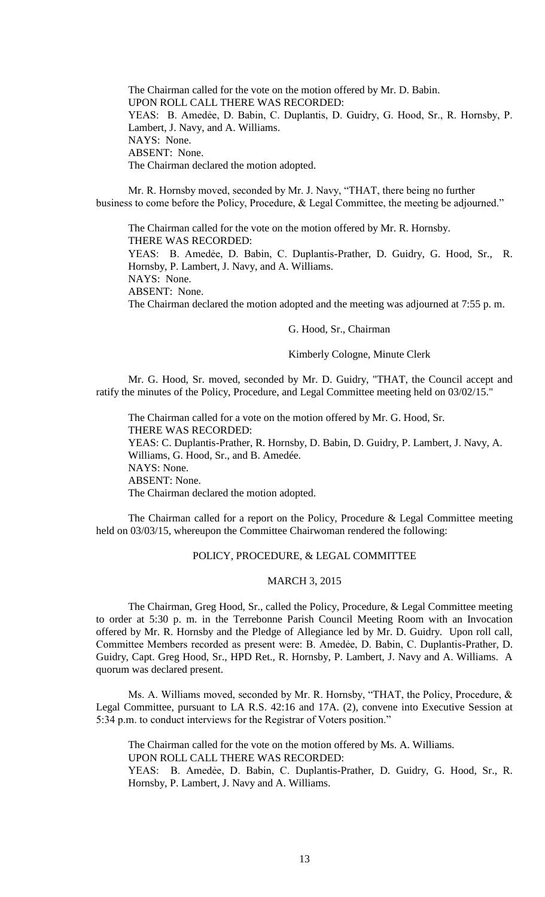The Chairman called for the vote on the motion offered by Mr. D. Babin. UPON ROLL CALL THERE WAS RECORDED: YEAS: B. Amedėe, D. Babin, C. Duplantis, D. Guidry, G. Hood, Sr., R. Hornsby, P. Lambert, J. Navy, and A. Williams. NAYS: None. ABSENT: None. The Chairman declared the motion adopted.

Mr. R. Hornsby moved, seconded by Mr. J. Navy, "THAT, there being no further business to come before the Policy, Procedure, & Legal Committee, the meeting be adjourned."

The Chairman called for the vote on the motion offered by Mr. R. Hornsby. THERE WAS RECORDED: YEAS: B. Amedẻe, D. Babin, C. Duplantis-Prather, D. Guidry, G. Hood, Sr., R. Hornsby, P. Lambert, J. Navy, and A. Williams.

NAYS: None.

ABSENT: None.

The Chairman declared the motion adopted and the meeting was adjourned at 7:55 p. m.

#### G. Hood, Sr., Chairman

#### Kimberly Cologne, Minute Clerk

Mr. G. Hood, Sr. moved, seconded by Mr. D. Guidry, "THAT, the Council accept and ratify the minutes of the Policy, Procedure, and Legal Committee meeting held on 03/02/15."

The Chairman called for a vote on the motion offered by Mr. G. Hood, Sr. THERE WAS RECORDED: YEAS: C. Duplantis-Prather, R. Hornsby, D. Babin, D. Guidry, P. Lambert, J. Navy, A. Williams, G. Hood, Sr., and B. Amedée. NAYS: None. ABSENT: None. The Chairman declared the motion adopted.

The Chairman called for a report on the Policy, Procedure & Legal Committee meeting held on 03/03/15, whereupon the Committee Chairwoman rendered the following:

### POLICY, PROCEDURE, & LEGAL COMMITTEE

### MARCH 3, 2015

The Chairman, Greg Hood, Sr., called the Policy, Procedure, & Legal Committee meeting to order at 5:30 p. m. in the Terrebonne Parish Council Meeting Room with an Invocation offered by Mr. R. Hornsby and the Pledge of Allegiance led by Mr. D. Guidry. Upon roll call, Committee Members recorded as present were: B. Amedẻe, D. Babin, C. Duplantis-Prather, D. Guidry, Capt. Greg Hood, Sr., HPD Ret., R. Hornsby, P. Lambert, J. Navy and A. Williams. A quorum was declared present.

Ms. A. Williams moved, seconded by Mr. R. Hornsby, "THAT, the Policy, Procedure, & Legal Committee, pursuant to LA R.S. 42:16 and 17A. (2), convene into Executive Session at 5:34 p.m. to conduct interviews for the Registrar of Voters position."

The Chairman called for the vote on the motion offered by Ms. A. Williams. UPON ROLL CALL THERE WAS RECORDED: YEAS: B. Amedẻe, D. Babin, C. Duplantis-Prather, D. Guidry, G. Hood, Sr., R. Hornsby, P. Lambert, J. Navy and A. Williams.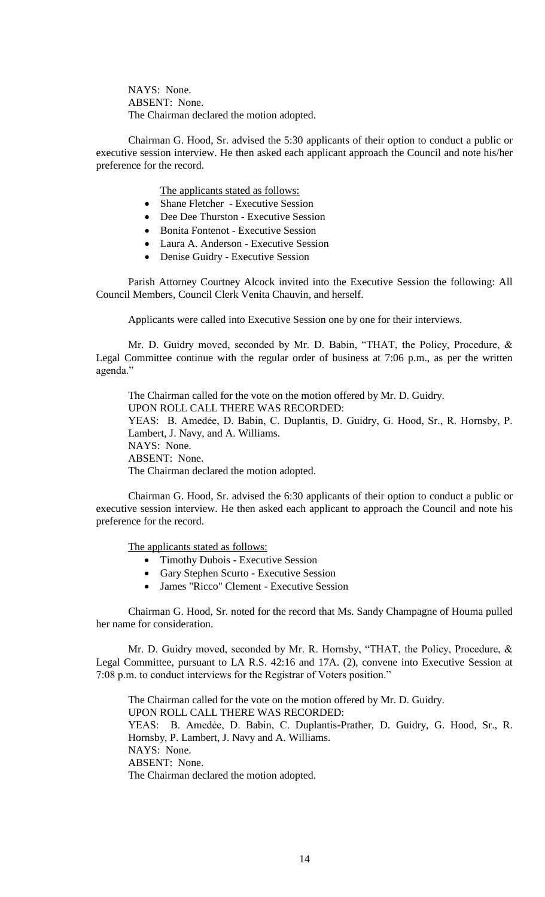NAYS: None. ABSENT: None. The Chairman declared the motion adopted.

Chairman G. Hood, Sr. advised the 5:30 applicants of their option to conduct a public or executive session interview. He then asked each applicant approach the Council and note his/her preference for the record.

The applicants stated as follows:

- Shane Fletcher Executive Session
- Dee Dee Thurston Executive Session
- Bonita Fontenot Executive Session
- Laura A. Anderson Executive Session
- Denise Guidry Executive Session

Parish Attorney Courtney Alcock invited into the Executive Session the following: All Council Members, Council Clerk Venita Chauvin, and herself.

Applicants were called into Executive Session one by one for their interviews.

Mr. D. Guidry moved, seconded by Mr. D. Babin, "THAT, the Policy, Procedure, & Legal Committee continue with the regular order of business at 7:06 p.m., as per the written agenda."

The Chairman called for the vote on the motion offered by Mr. D. Guidry. UPON ROLL CALL THERE WAS RECORDED: YEAS: B. Amedėe, D. Babin, C. Duplantis, D. Guidry, G. Hood, Sr., R. Hornsby, P. Lambert, J. Navy, and A. Williams. NAYS: None. ABSENT: None. The Chairman declared the motion adopted.

Chairman G. Hood, Sr. advised the 6:30 applicants of their option to conduct a public or executive session interview. He then asked each applicant to approach the Council and note his preference for the record.

The applicants stated as follows:

- Timothy Dubois Executive Session
- Gary Stephen Scurto Executive Session
- James "Ricco" Clement Executive Session

Chairman G. Hood, Sr. noted for the record that Ms. Sandy Champagne of Houma pulled her name for consideration.

Mr. D. Guidry moved, seconded by Mr. R. Hornsby, "THAT, the Policy, Procedure, & Legal Committee, pursuant to LA R.S. 42:16 and 17A. (2), convene into Executive Session at 7:08 p.m. to conduct interviews for the Registrar of Voters position."

The Chairman called for the vote on the motion offered by Mr. D. Guidry. UPON ROLL CALL THERE WAS RECORDED: YEAS: B. Amedẻe, D. Babin, C. Duplantis-Prather, D. Guidry, G. Hood, Sr., R. Hornsby, P. Lambert, J. Navy and A. Williams. NAYS: None. ABSENT: None. The Chairman declared the motion adopted.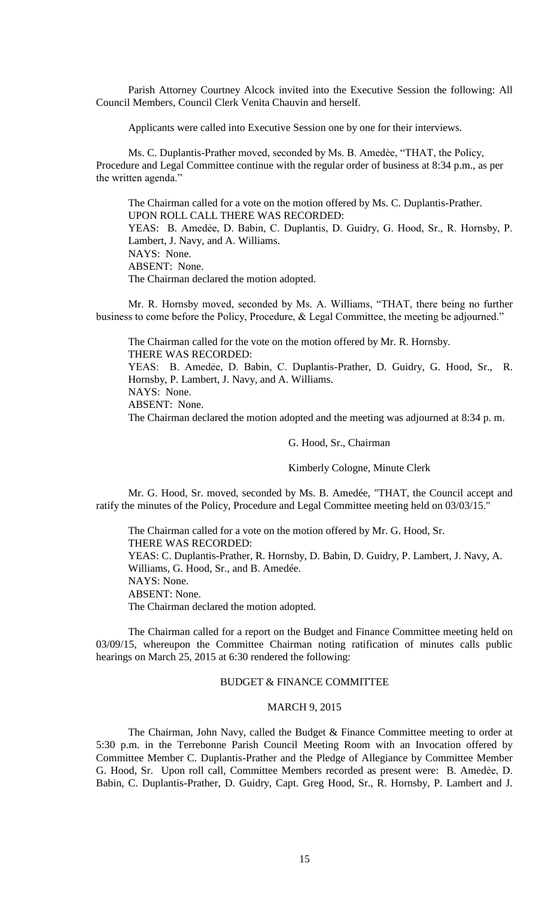Parish Attorney Courtney Alcock invited into the Executive Session the following: All Council Members, Council Clerk Venita Chauvin and herself.

Applicants were called into Executive Session one by one for their interviews.

Ms. C. Duplantis-Prather moved, seconded by Ms. B. Amedèe, "THAT, the Policy, Procedure and Legal Committee continue with the regular order of business at 8:34 p.m., as per the written agenda."

The Chairman called for a vote on the motion offered by Ms. C. Duplantis-Prather. UPON ROLL CALL THERE WAS RECORDED: YEAS: B. Amedėe, D. Babin, C. Duplantis, D. Guidry, G. Hood, Sr., R. Hornsby, P. Lambert, J. Navy, and A. Williams. NAYS: None. ABSENT: None. The Chairman declared the motion adopted.

Mr. R. Hornsby moved, seconded by Ms. A. Williams, "THAT, there being no further business to come before the Policy, Procedure, & Legal Committee, the meeting be adjourned."

The Chairman called for the vote on the motion offered by Mr. R. Hornsby. THERE WAS RECORDED: YEAS: B. Amedẻe, D. Babin, C. Duplantis-Prather, D. Guidry, G. Hood, Sr., R. Hornsby, P. Lambert, J. Navy, and A. Williams. NAYS: None. ABSENT: None. The Chairman declared the motion adopted and the meeting was adjourned at 8:34 p. m.

### G. Hood, Sr., Chairman

Kimberly Cologne, Minute Clerk

Mr. G. Hood, Sr. moved, seconded by Ms. B. Amedée, "THAT, the Council accept and ratify the minutes of the Policy, Procedure and Legal Committee meeting held on 03/03/15."

The Chairman called for a vote on the motion offered by Mr. G. Hood, Sr. THERE WAS RECORDED: YEAS: C. Duplantis-Prather, R. Hornsby, D. Babin, D. Guidry, P. Lambert, J. Navy, A. Williams, G. Hood, Sr., and B. Amedée. NAYS: None. ABSENT: None. The Chairman declared the motion adopted.

The Chairman called for a report on the Budget and Finance Committee meeting held on 03/09/15, whereupon the Committee Chairman noting ratification of minutes calls public hearings on March 25, 2015 at 6:30 rendered the following:

### BUDGET & FINANCE COMMITTEE

## MARCH 9, 2015

The Chairman, John Navy, called the Budget & Finance Committee meeting to order at 5:30 p.m. in the Terrebonne Parish Council Meeting Room with an Invocation offered by Committee Member C. Duplantis-Prather and the Pledge of Allegiance by Committee Member G. Hood, Sr. Upon roll call, Committee Members recorded as present were: B. Amedẻe, D. Babin, C. Duplantis-Prather, D. Guidry, Capt. Greg Hood, Sr., R. Hornsby, P. Lambert and J.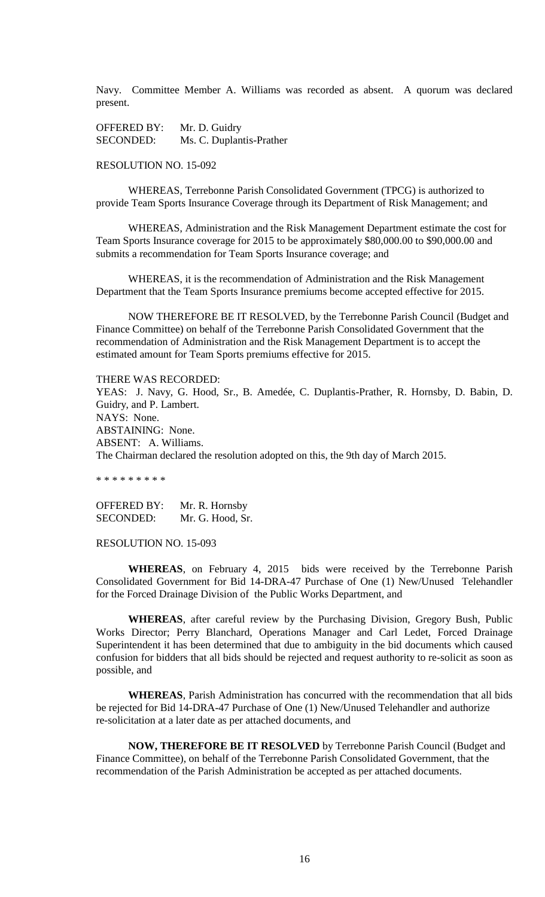Navy. Committee Member A. Williams was recorded as absent. A quorum was declared present.

OFFERED BY: Mr. D. Guidry SECONDED: Ms. C. Duplantis-Prather

## RESOLUTION NO. 15-092

WHEREAS, Terrebonne Parish Consolidated Government (TPCG) is authorized to provide Team Sports Insurance Coverage through its Department of Risk Management; and

WHEREAS, Administration and the Risk Management Department estimate the cost for Team Sports Insurance coverage for 2015 to be approximately \$80,000.00 to \$90,000.00 and submits a recommendation for Team Sports Insurance coverage; and

WHEREAS, it is the recommendation of Administration and the Risk Management Department that the Team Sports Insurance premiums become accepted effective for 2015.

NOW THEREFORE BE IT RESOLVED, by the Terrebonne Parish Council (Budget and Finance Committee) on behalf of the Terrebonne Parish Consolidated Government that the recommendation of Administration and the Risk Management Department is to accept the estimated amount for Team Sports premiums effective for 2015.

THERE WAS RECORDED: YEAS: J. Navy, G. Hood, Sr., B. Amedée, C. Duplantis-Prather, R. Hornsby, D. Babin, D. Guidry, and P. Lambert. NAYS: None. ABSTAINING: None. ABSENT: A. Williams. The Chairman declared the resolution adopted on this, the 9th day of March 2015.

\* \* \* \* \* \* \* \* \*

OFFERED BY: Mr. R. Hornsby SECONDED: Mr. G. Hood, Sr.

#### RESOLUTION NO. 15-093

**WHEREAS**, on February 4, 2015 bids were received by the Terrebonne Parish Consolidated Government for Bid 14-DRA-47 Purchase of One (1) New/Unused Telehandler for the Forced Drainage Division of the Public Works Department, and

**WHEREAS**, after careful review by the Purchasing Division, Gregory Bush, Public Works Director; Perry Blanchard, Operations Manager and Carl Ledet, Forced Drainage Superintendent it has been determined that due to ambiguity in the bid documents which caused confusion for bidders that all bids should be rejected and request authority to re-solicit as soon as possible, and

**WHEREAS**, Parish Administration has concurred with the recommendation that all bids be rejected for Bid 14-DRA-47 Purchase of One (1) New/Unused Telehandler and authorize re-solicitation at a later date as per attached documents, and

**NOW, THEREFORE BE IT RESOLVED** by Terrebonne Parish Council (Budget and Finance Committee), on behalf of the Terrebonne Parish Consolidated Government, that the recommendation of the Parish Administration be accepted as per attached documents.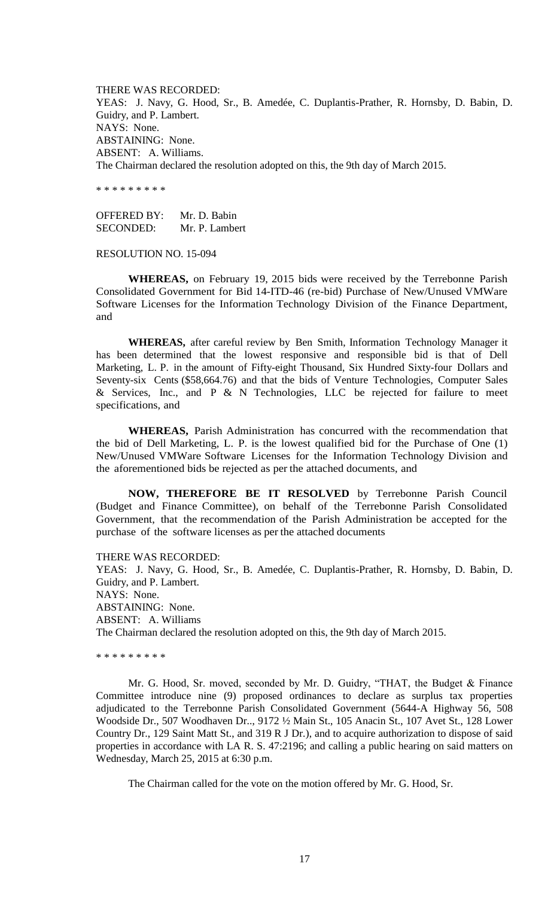THERE WAS RECORDED: YEAS: J. Navy, G. Hood, Sr., B. Amedée, C. Duplantis-Prather, R. Hornsby, D. Babin, D. Guidry, and P. Lambert. NAYS: None. ABSTAINING: None. ABSENT: A. Williams. The Chairman declared the resolution adopted on this, the 9th day of March 2015.

\* \* \* \* \* \* \* \* \*

OFFERED BY: Mr. D. Babin SECONDED: Mr. P. Lambert

RESOLUTION NO. 15-094

**WHEREAS,** on February 19, 2015 bids were received by the Terrebonne Parish Consolidated Government for Bid 14-ITD-46 (re-bid) Purchase of New/Unused VMWare Software Licenses for the Information Technology Division of the Finance Department, and

**WHEREAS,** after careful review by Ben Smith, Information Technology Manager it has been determined that the lowest responsive and responsible bid is that of Dell Marketing, L. P. in the amount of Fifty-eight Thousand, Six Hundred Sixty-four Dollars and Seventy-six Cents (\$58,664.76) and that the bids of Venture Technologies, Computer Sales & Services, Inc., and P & N Technologies, LLC be rejected for failure to meet specifications, and

**WHEREAS,** Parish Administration has concurred with the recommendation that the bid of Dell Marketing, L. P. is the lowest qualified bid for the Purchase of One (1) New/Unused VMWare Software Licenses for the Information Technology Division and the aforementioned bids be rejected as per the attached documents, and

**NOW, THEREFORE BE IT RESOLVED** by Terrebonne Parish Council (Budget and Finance Committee), on behalf of the Terrebonne Parish Consolidated Government, that the recommendation of the Parish Administration be accepted for the purchase of the software licenses as per the attached documents

THERE WAS RECORDED: YEAS: J. Navy, G. Hood, Sr., B. Amedée, C. Duplantis-Prather, R. Hornsby, D. Babin, D. Guidry, and P. Lambert. NAYS: None. ABSTAINING: None. ABSENT: A. Williams The Chairman declared the resolution adopted on this, the 9th day of March 2015.

\* \* \* \* \* \* \* \* \*

Mr. G. Hood, Sr. moved, seconded by Mr. D. Guidry, "THAT, the Budget & Finance Committee introduce nine (9) proposed ordinances to declare as surplus tax properties adjudicated to the Terrebonne Parish Consolidated Government (5644-A Highway 56, 508 Woodside Dr., 507 Woodhaven Dr.., 9172 ½ Main St., 105 Anacin St., 107 Avet St., 128 Lower Country Dr., 129 Saint Matt St., and 319 R J Dr.), and to acquire authorization to dispose of said properties in accordance with LA R. S. 47:2196; and calling a public hearing on said matters on Wednesday, March 25, 2015 at 6:30 p.m.

The Chairman called for the vote on the motion offered by Mr. G. Hood, Sr.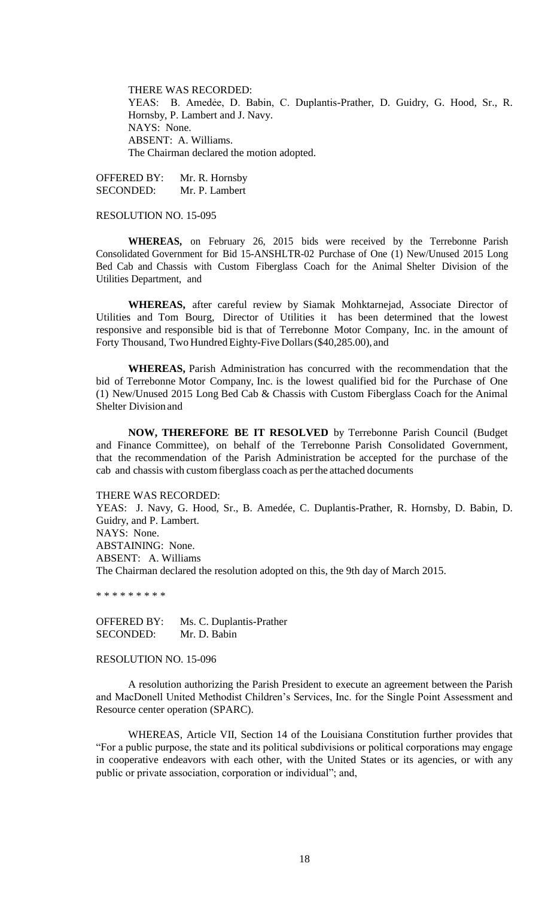THERE WAS RECORDED: YEAS: B. Amedẻe, D. Babin, C. Duplantis-Prather, D. Guidry, G. Hood, Sr., R. Hornsby, P. Lambert and J. Navy. NAYS: None. ABSENT: A. Williams. The Chairman declared the motion adopted.

OFFERED BY: Mr. R. Hornsby SECONDED: Mr. P. Lambert

#### RESOLUTION NO. 15-095

**WHEREAS,** on February 26, 2015 bids were received by the Terrebonne Parish Consolidated Government for Bid 15-ANSHLTR-02 Purchase of One (1) New/Unused 2015 Long Bed Cab and Chassis with Custom Fiberglass Coach for the Animal Shelter Division of the Utilities Department, and

**WHEREAS,** after careful review by Siamak Mohktarnejad, Associate Director of Utilities and Tom Bourg, Director of Utilities it has been determined that the lowest responsive and responsible bid is that of Terrebonne Motor Company, Inc. in the amount of Forty Thousand, Two Hundred Eighty-Five Dollars (\$40,285.00), and

**WHEREAS,** Parish Administration has concurred with the recommendation that the bid of Terrebonne Motor Company, Inc. is the lowest qualified bid for the Purchase of One (1) New/Unused 2015 Long Bed Cab & Chassis with Custom Fiberglass Coach for the Animal Shelter Division and

**NOW, THEREFORE BE IT RESOLVED** by Terrebonne Parish Council (Budget and Finance Committee), on behalf of the Terrebonne Parish Consolidated Government, that the recommendation of the Parish Administration be accepted for the purchase of the cab and chassis with customfiberglass coach as perthe attached documents

#### THERE WAS RECORDED:

YEAS: J. Navy, G. Hood, Sr., B. Amedée, C. Duplantis-Prather, R. Hornsby, D. Babin, D. Guidry, and P. Lambert. NAYS: None. ABSTAINING: None. ABSENT: A. Williams The Chairman declared the resolution adopted on this, the 9th day of March 2015.

\* \* \* \* \* \* \* \* \*

OFFERED BY: Ms. C. Duplantis-Prather SECONDED: Mr. D. Babin

### RESOLUTION NO. 15-096

A resolution authorizing the Parish President to execute an agreement between the Parish and MacDonell United Methodist Children's Services, Inc. for the Single Point Assessment and Resource center operation (SPARC).

WHEREAS, Article VII, Section 14 of the Louisiana Constitution further provides that "For a public purpose, the state and its political subdivisions or political corporations may engage in cooperative endeavors with each other, with the United States or its agencies, or with any public or private association, corporation or individual"; and,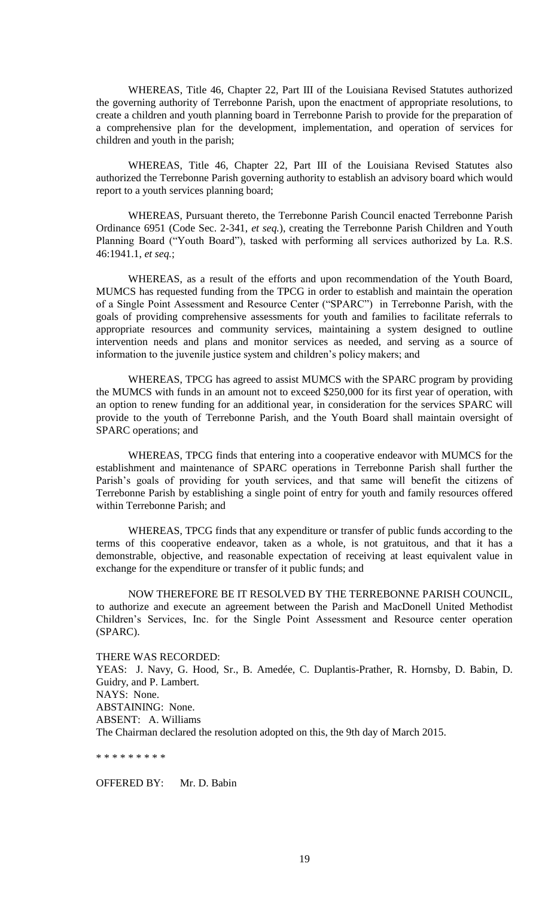WHEREAS, Title 46, Chapter 22, Part III of the Louisiana Revised Statutes authorized the governing authority of Terrebonne Parish, upon the enactment of appropriate resolutions, to create a children and youth planning board in Terrebonne Parish to provide for the preparation of a comprehensive plan for the development, implementation, and operation of services for children and youth in the parish;

WHEREAS, Title 46, Chapter 22, Part III of the Louisiana Revised Statutes also authorized the Terrebonne Parish governing authority to establish an advisory board which would report to a youth services planning board;

WHEREAS, Pursuant thereto, the Terrebonne Parish Council enacted Terrebonne Parish Ordinance 6951 (Code Sec. 2-341, *et seq.*), creating the Terrebonne Parish Children and Youth Planning Board ("Youth Board"), tasked with performing all services authorized by La. R.S. 46:1941.1, *et seq.*;

WHEREAS, as a result of the efforts and upon recommendation of the Youth Board, MUMCS has requested funding from the TPCG in order to establish and maintain the operation of a Single Point Assessment and Resource Center ("SPARC") in Terrebonne Parish, with the goals of providing comprehensive assessments for youth and families to facilitate referrals to appropriate resources and community services, maintaining a system designed to outline intervention needs and plans and monitor services as needed, and serving as a source of information to the juvenile justice system and children's policy makers; and

WHEREAS, TPCG has agreed to assist MUMCS with the SPARC program by providing the MUMCS with funds in an amount not to exceed \$250,000 for its first year of operation, with an option to renew funding for an additional year, in consideration for the services SPARC will provide to the youth of Terrebonne Parish, and the Youth Board shall maintain oversight of SPARC operations; and

WHEREAS, TPCG finds that entering into a cooperative endeavor with MUMCS for the establishment and maintenance of SPARC operations in Terrebonne Parish shall further the Parish's goals of providing for youth services, and that same will benefit the citizens of Terrebonne Parish by establishing a single point of entry for youth and family resources offered within Terrebonne Parish; and

WHEREAS, TPCG finds that any expenditure or transfer of public funds according to the terms of this cooperative endeavor, taken as a whole, is not gratuitous, and that it has a demonstrable, objective, and reasonable expectation of receiving at least equivalent value in exchange for the expenditure or transfer of it public funds; and

NOW THEREFORE BE IT RESOLVED BY THE TERREBONNE PARISH COUNCIL, to authorize and execute an agreement between the Parish and MacDonell United Methodist Children's Services, Inc. for the Single Point Assessment and Resource center operation (SPARC).

THERE WAS RECORDED:

YEAS: J. Navy, G. Hood, Sr., B. Amedée, C. Duplantis-Prather, R. Hornsby, D. Babin, D. Guidry, and P. Lambert. NAYS: None. ABSTAINING: None. ABSENT: A. Williams The Chairman declared the resolution adopted on this, the 9th day of March 2015.

\* \* \* \* \* \* \* \* \*

OFFERED BY: Mr. D. Babin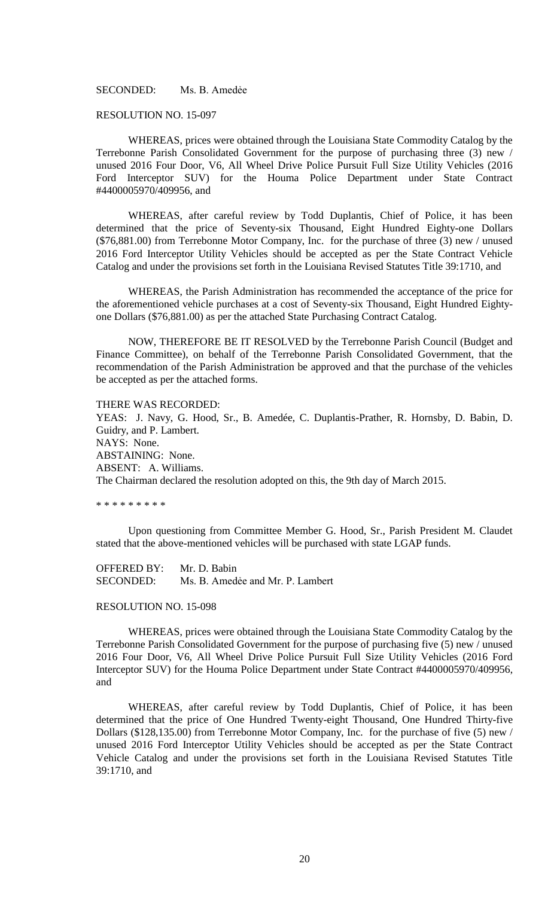SECONDED: Ms. B. Amedée

#### RESOLUTION NO. 15-097

WHEREAS, prices were obtained through the Louisiana State Commodity Catalog by the Terrebonne Parish Consolidated Government for the purpose of purchasing three (3) new / unused 2016 Four Door, V6, All Wheel Drive Police Pursuit Full Size Utility Vehicles (2016 Ford Interceptor SUV) for the Houma Police Department under State Contract #4400005970/409956, and

WHEREAS, after careful review by Todd Duplantis, Chief of Police, it has been determined that the price of Seventy-six Thousand, Eight Hundred Eighty-one Dollars (\$76,881.00) from Terrebonne Motor Company, Inc. for the purchase of three (3) new / unused 2016 Ford Interceptor Utility Vehicles should be accepted as per the State Contract Vehicle Catalog and under the provisions set forth in the Louisiana Revised Statutes Title 39:1710, and

WHEREAS, the Parish Administration has recommended the acceptance of the price for the aforementioned vehicle purchases at a cost of Seventy-six Thousand, Eight Hundred Eightyone Dollars (\$76,881.00) as per the attached State Purchasing Contract Catalog.

NOW, THEREFORE BE IT RESOLVED by the Terrebonne Parish Council (Budget and Finance Committee), on behalf of the Terrebonne Parish Consolidated Government, that the recommendation of the Parish Administration be approved and that the purchase of the vehicles be accepted as per the attached forms.

THERE WAS RECORDED:

YEAS: J. Navy, G. Hood, Sr., B. Amedée, C. Duplantis-Prather, R. Hornsby, D. Babin, D. Guidry, and P. Lambert. NAYS: None. ABSTAINING: None. ABSENT: A. Williams. The Chairman declared the resolution adopted on this, the 9th day of March 2015.

\* \* \* \* \* \* \* \* \*

Upon questioning from Committee Member G. Hood, Sr., Parish President M. Claudet stated that the above-mentioned vehicles will be purchased with state LGAP funds.

OFFERED BY: Mr. D. Babin SECONDED: Ms. B. Amedee and Mr. P. Lambert

#### RESOLUTION NO. 15-098

WHEREAS, prices were obtained through the Louisiana State Commodity Catalog by the Terrebonne Parish Consolidated Government for the purpose of purchasing five (5) new / unused 2016 Four Door, V6, All Wheel Drive Police Pursuit Full Size Utility Vehicles (2016 Ford Interceptor SUV) for the Houma Police Department under State Contract #4400005970/409956, and

WHEREAS, after careful review by Todd Duplantis, Chief of Police, it has been determined that the price of One Hundred Twenty-eight Thousand, One Hundred Thirty-five Dollars (\$128,135.00) from Terrebonne Motor Company, Inc. for the purchase of five (5) new / unused 2016 Ford Interceptor Utility Vehicles should be accepted as per the State Contract Vehicle Catalog and under the provisions set forth in the Louisiana Revised Statutes Title 39:1710, and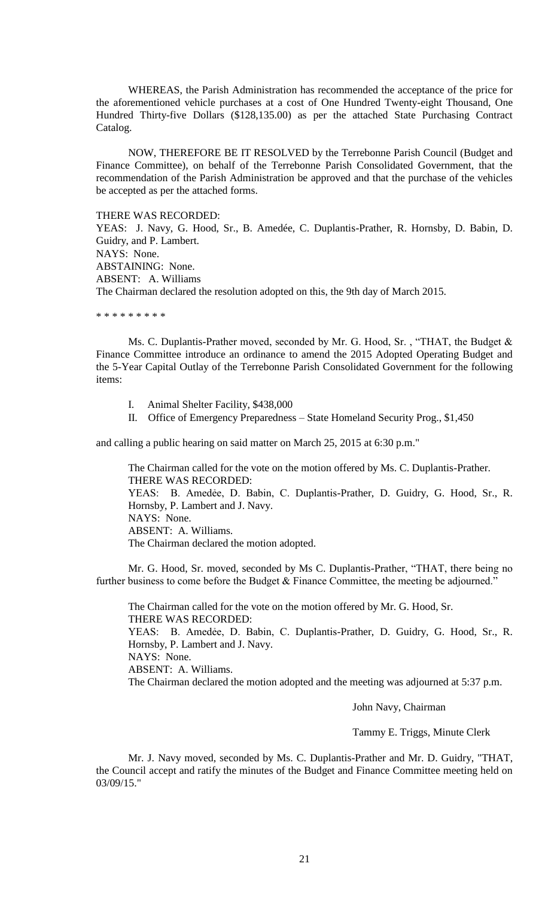WHEREAS, the Parish Administration has recommended the acceptance of the price for the aforementioned vehicle purchases at a cost of One Hundred Twenty-eight Thousand, One Hundred Thirty-five Dollars (\$128,135.00) as per the attached State Purchasing Contract Catalog.

NOW, THEREFORE BE IT RESOLVED by the Terrebonne Parish Council (Budget and Finance Committee), on behalf of the Terrebonne Parish Consolidated Government, that the recommendation of the Parish Administration be approved and that the purchase of the vehicles be accepted as per the attached forms.

THERE WAS RECORDED:

YEAS: J. Navy, G. Hood, Sr., B. Amedée, C. Duplantis-Prather, R. Hornsby, D. Babin, D. Guidry, and P. Lambert. NAYS: None. ABSTAINING: None. ABSENT: A. Williams The Chairman declared the resolution adopted on this, the 9th day of March 2015.

\* \* \* \* \* \* \* \* \*

Ms. C. Duplantis-Prather moved, seconded by Mr. G. Hood, Sr. , "THAT, the Budget & Finance Committee introduce an ordinance to amend the 2015 Adopted Operating Budget and the 5-Year Capital Outlay of the Terrebonne Parish Consolidated Government for the following items:

- I. Animal Shelter Facility, \$438,000
- II. Office of Emergency Preparedness State Homeland Security Prog., \$1,450

and calling a public hearing on said matter on March 25, 2015 at 6:30 p.m."

The Chairman called for the vote on the motion offered by Ms. C. Duplantis-Prather. THERE WAS RECORDED: YEAS: B. Amedẻe, D. Babin, C. Duplantis-Prather, D. Guidry, G. Hood, Sr., R. Hornsby, P. Lambert and J. Navy. NAYS: None. ABSENT: A. Williams. The Chairman declared the motion adopted.

Mr. G. Hood, Sr. moved, seconded by Ms C. Duplantis-Prather, "THAT, there being no further business to come before the Budget & Finance Committee, the meeting be adjourned."

The Chairman called for the vote on the motion offered by Mr. G. Hood, Sr. THERE WAS RECORDED: YEAS: B. Amedẻe, D. Babin, C. Duplantis-Prather, D. Guidry, G. Hood, Sr., R. Hornsby, P. Lambert and J. Navy. NAYS: None. ABSENT: A. Williams. The Chairman declared the motion adopted and the meeting was adjourned at 5:37 p.m.

John Navy, Chairman

Tammy E. Triggs, Minute Clerk

Mr. J. Navy moved, seconded by Ms. C. Duplantis-Prather and Mr. D. Guidry, "THAT, the Council accept and ratify the minutes of the Budget and Finance Committee meeting held on 03/09/15."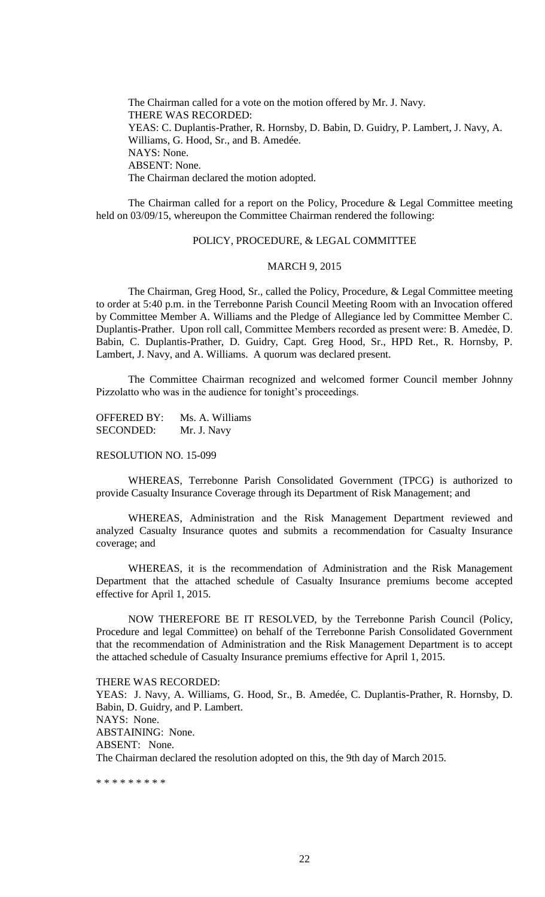The Chairman called for a vote on the motion offered by Mr. J. Navy. THERE WAS RECORDED: YEAS: C. Duplantis-Prather, R. Hornsby, D. Babin, D. Guidry, P. Lambert, J. Navy, A. Williams, G. Hood, Sr., and B. Amedée. NAYS: None. ABSENT: None. The Chairman declared the motion adopted.

The Chairman called for a report on the Policy, Procedure & Legal Committee meeting held on 03/09/15, whereupon the Committee Chairman rendered the following:

## POLICY, PROCEDURE, & LEGAL COMMITTEE

#### MARCH 9, 2015

The Chairman, Greg Hood, Sr., called the Policy, Procedure, & Legal Committee meeting to order at 5:40 p.m. in the Terrebonne Parish Council Meeting Room with an Invocation offered by Committee Member A. Williams and the Pledge of Allegiance led by Committee Member C. Duplantis-Prather. Upon roll call, Committee Members recorded as present were: B. Amedẻe, D. Babin, C. Duplantis-Prather, D. Guidry, Capt. Greg Hood, Sr., HPD Ret., R. Hornsby, P. Lambert, J. Navy, and A. Williams. A quorum was declared present.

The Committee Chairman recognized and welcomed former Council member Johnny Pizzolatto who was in the audience for tonight's proceedings.

OFFERED BY: Ms. A. Williams SECONDED: Mr. J. Navy

#### RESOLUTION NO. 15-099

WHEREAS, Terrebonne Parish Consolidated Government (TPCG) is authorized to provide Casualty Insurance Coverage through its Department of Risk Management; and

WHEREAS, Administration and the Risk Management Department reviewed and analyzed Casualty Insurance quotes and submits a recommendation for Casualty Insurance coverage; and

WHEREAS, it is the recommendation of Administration and the Risk Management Department that the attached schedule of Casualty Insurance premiums become accepted effective for April 1, 2015.

NOW THEREFORE BE IT RESOLVED, by the Terrebonne Parish Council (Policy, Procedure and legal Committee) on behalf of the Terrebonne Parish Consolidated Government that the recommendation of Administration and the Risk Management Department is to accept the attached schedule of Casualty Insurance premiums effective for April 1, 2015.

THERE WAS RECORDED:

YEAS: J. Navy, A. Williams, G. Hood, Sr., B. Amedée, C. Duplantis-Prather, R. Hornsby, D. Babin, D. Guidry, and P. Lambert. NAYS: None. ABSTAINING: None.

ABSENT: None.

The Chairman declared the resolution adopted on this, the 9th day of March 2015.

\* \* \* \* \* \* \* \* \*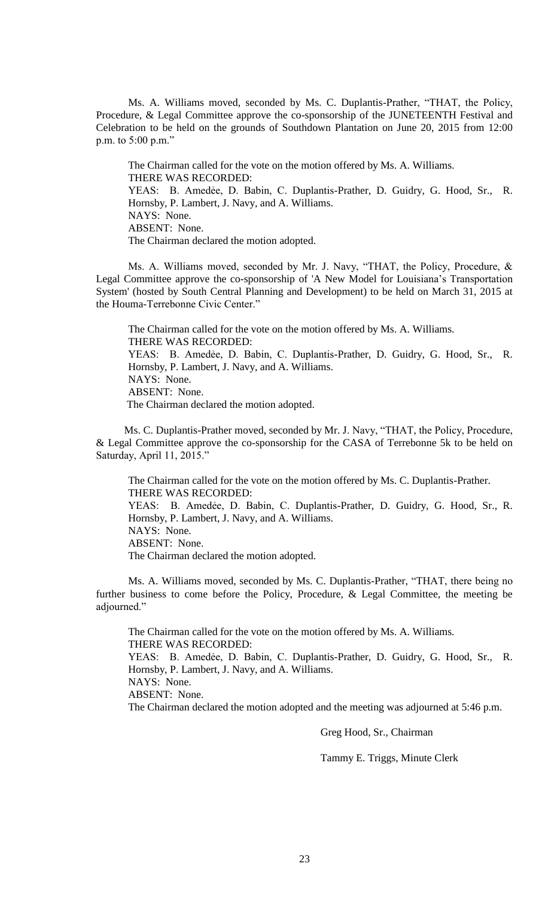Ms. A. Williams moved, seconded by Ms. C. Duplantis-Prather, "THAT, the Policy, Procedure, & Legal Committee approve the co-sponsorship of the JUNETEENTH Festival and Celebration to be held on the grounds of Southdown Plantation on June 20, 2015 from 12:00 p.m. to 5:00 p.m."

The Chairman called for the vote on the motion offered by Ms. A. Williams. THERE WAS RECORDED: YEAS: B. Amedẻe, D. Babin, C. Duplantis-Prather, D. Guidry, G. Hood, Sr., R. Hornsby, P. Lambert, J. Navy, and A. Williams. NAYS: None. ABSENT: None. The Chairman declared the motion adopted.

 Ms. A. Williams moved, seconded by Mr. J. Navy, "THAT, the Policy, Procedure, & Legal Committee approve the co-sponsorship of 'A New Model for Louisiana's Transportation System' (hosted by South Central Planning and Development) to be held on March 31, 2015 at the Houma-Terrebonne Civic Center."

The Chairman called for the vote on the motion offered by Ms. A. Williams. THERE WAS RECORDED: YEAS: B. Amedẻe, D. Babin, C. Duplantis-Prather, D. Guidry, G. Hood, Sr., R. Hornsby, P. Lambert, J. Navy, and A. Williams. NAYS: None. ABSENT: None. The Chairman declared the motion adopted.

Ms. C. Duplantis-Prather moved, seconded by Mr. J. Navy, "THAT, the Policy, Procedure, & Legal Committee approve the co-sponsorship for the CASA of Terrebonne 5k to be held on Saturday, April 11, 2015."

The Chairman called for the vote on the motion offered by Ms. C. Duplantis-Prather. THERE WAS RECORDED: YEAS: B. Amedẻe, D. Babin, C. Duplantis-Prather, D. Guidry, G. Hood, Sr., R. Hornsby, P. Lambert, J. Navy, and A. Williams. NAYS: None. ABSENT: None. The Chairman declared the motion adopted.

Ms. A. Williams moved, seconded by Ms. C. Duplantis-Prather, "THAT, there being no further business to come before the Policy, Procedure, & Legal Committee, the meeting be adjourned."

The Chairman called for the vote on the motion offered by Ms. A. Williams. THERE WAS RECORDED: YEAS: B. Amedẻe, D. Babin, C. Duplantis-Prather, D. Guidry, G. Hood, Sr., R. Hornsby, P. Lambert, J. Navy, and A. Williams. NAYS: None. ABSENT: None. The Chairman declared the motion adopted and the meeting was adjourned at 5:46 p.m.

Greg Hood, Sr., Chairman

Tammy E. Triggs, Minute Clerk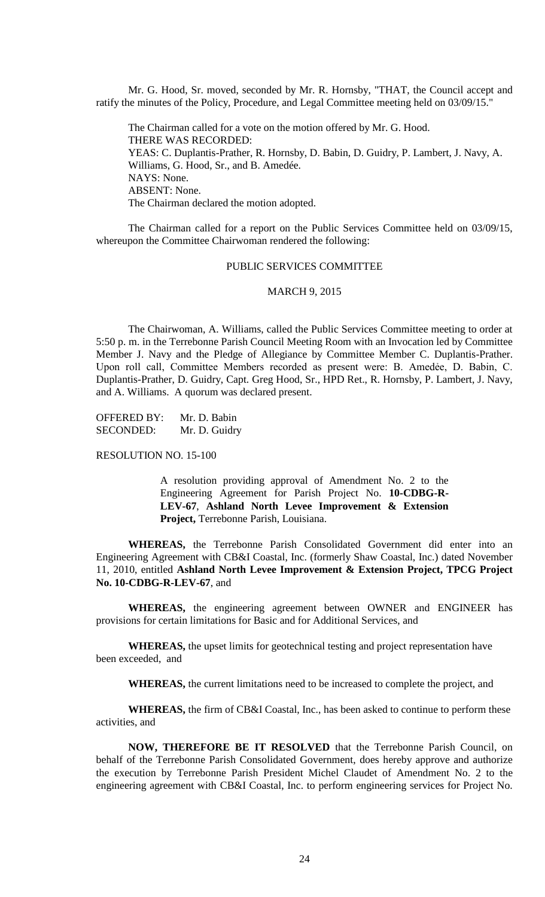Mr. G. Hood, Sr. moved, seconded by Mr. R. Hornsby, "THAT, the Council accept and ratify the minutes of the Policy, Procedure, and Legal Committee meeting held on 03/09/15."

The Chairman called for a vote on the motion offered by Mr. G. Hood. THERE WAS RECORDED: YEAS: C. Duplantis-Prather, R. Hornsby, D. Babin, D. Guidry, P. Lambert, J. Navy, A. Williams, G. Hood, Sr., and B. Amedée. NAYS: None. ABSENT: None. The Chairman declared the motion adopted.

The Chairman called for a report on the Public Services Committee held on 03/09/15, whereupon the Committee Chairwoman rendered the following:

#### PUBLIC SERVICES COMMITTEE

#### MARCH 9, 2015

The Chairwoman, A. Williams, called the Public Services Committee meeting to order at 5:50 p. m. in the Terrebonne Parish Council Meeting Room with an Invocation led by Committee Member J. Navy and the Pledge of Allegiance by Committee Member C. Duplantis-Prather. Upon roll call, Committee Members recorded as present were: B. Amedẻe, D. Babin, C. Duplantis-Prather, D. Guidry, Capt. Greg Hood, Sr., HPD Ret., R. Hornsby, P. Lambert, J. Navy, and A. Williams. A quorum was declared present.

OFFERED BY: Mr. D. Babin SECONDED: Mr. D. Guidry

RESOLUTION NO. 15-100

A resolution providing approval of Amendment No. 2 to the Engineering Agreement for Parish Project No. **10-CDBG-R-LEV-67**, **Ashland North Levee Improvement & Extension Project,** Terrebonne Parish, Louisiana.

**WHEREAS,** the Terrebonne Parish Consolidated Government did enter into an Engineering Agreement with CB&I Coastal, Inc. (formerly Shaw Coastal, Inc.) dated November 11, 2010, entitled **Ashland North Levee Improvement & Extension Project, TPCG Project No. 10-CDBG-R-LEV-67**, and

**WHEREAS,** the engineering agreement between OWNER and ENGINEER has provisions for certain limitations for Basic and for Additional Services, and

**WHEREAS,** the upset limits for geotechnical testing and project representation have been exceeded, and

**WHEREAS,** the current limitations need to be increased to complete the project, and

**WHEREAS,** the firm of CB&I Coastal, Inc., has been asked to continue to perform these activities, and

**NOW, THEREFORE BE IT RESOLVED** that the Terrebonne Parish Council, on behalf of the Terrebonne Parish Consolidated Government, does hereby approve and authorize the execution by Terrebonne Parish President Michel Claudet of Amendment No. 2 to the engineering agreement with CB&I Coastal, Inc. to perform engineering services for Project No.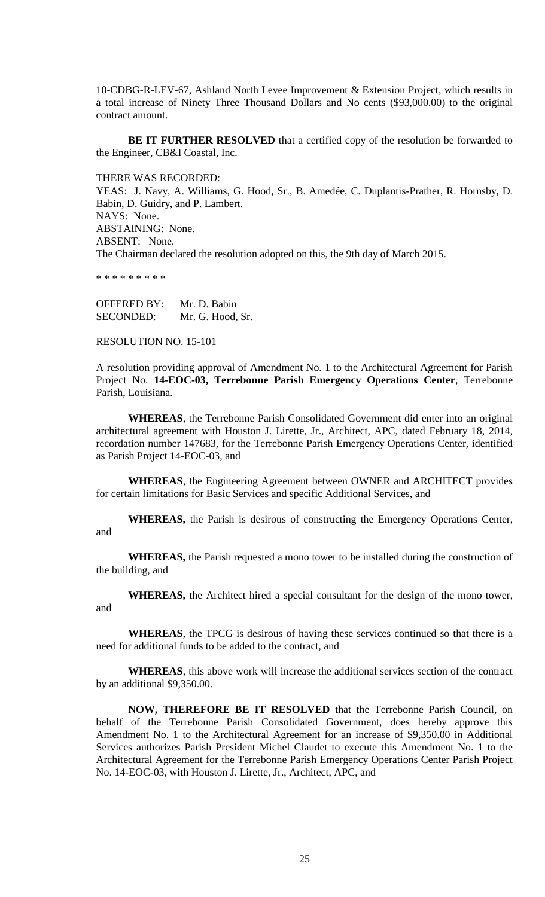10-CDBG-R-LEV-67, Ashland North Levee Improvement & Extension Project, which results in a total increase of Ninety Three Thousand Dollars and No cents (\$93,000.00) to the original contract amount.

**BE IT FURTHER RESOLVED** that a certified copy of the resolution be forwarded to the Engineer, CB&I Coastal, Inc.

THERE WAS RECORDED:

YEAS: J. Navy, A. Williams, G. Hood, Sr., B. Amedée, C. Duplantis-Prather, R. Hornsby, D. Babin, D. Guidry, and P. Lambert. NAYS: None. ABSTAINING: None. ABSENT: None. The Chairman declared the resolution adopted on this, the 9th day of March 2015.

\* \* \* \* \* \* \* \*

OFFERED BY: Mr. D. Babin SECONDED: Mr. G. Hood, Sr.

RESOLUTION NO. 15-101

A resolution providing approval of Amendment No. 1 to the Architectural Agreement for Parish Project No. **14-EOC-03, Terrebonne Parish Emergency Operations Center**, Terrebonne Parish, Louisiana.

**WHEREAS**, the Terrebonne Parish Consolidated Government did enter into an original architectural agreement with Houston J. Lirette, Jr., Architect, APC, dated February 18, 2014, recordation number 147683, for the Terrebonne Parish Emergency Operations Center, identified as Parish Project 14-EOC-03, and

**WHEREAS**, the Engineering Agreement between OWNER and ARCHITECT provides for certain limitations for Basic Services and specific Additional Services, and

**WHEREAS,** the Parish is desirous of constructing the Emergency Operations Center, and

**WHEREAS,** the Parish requested a mono tower to be installed during the construction of the building, and

**WHEREAS,** the Architect hired a special consultant for the design of the mono tower, and

**WHEREAS**, the TPCG is desirous of having these services continued so that there is a need for additional funds to be added to the contract, and

**WHEREAS**, this above work will increase the additional services section of the contract by an additional \$9,350.00.

**NOW, THEREFORE BE IT RESOLVED** that the Terrebonne Parish Council, on behalf of the Terrebonne Parish Consolidated Government, does hereby approve this Amendment No. 1 to the Architectural Agreement for an increase of \$9,350.00 in Additional Services authorizes Parish President Michel Claudet to execute this Amendment No. 1 to the Architectural Agreement for the Terrebonne Parish Emergency Operations Center Parish Project No. 14-EOC-03, with Houston J. Lirette, Jr., Architect, APC, and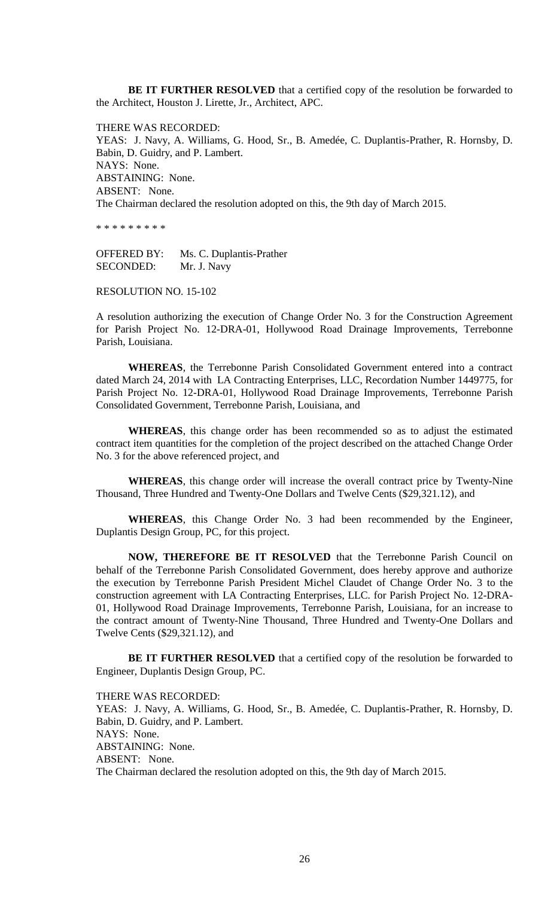**BE IT FURTHER RESOLVED** that a certified copy of the resolution be forwarded to the Architect, Houston J. Lirette, Jr., Architect, APC.

THERE WAS RECORDED: YEAS: J. Navy, A. Williams, G. Hood, Sr., B. Amedée, C. Duplantis-Prather, R. Hornsby, D. Babin, D. Guidry, and P. Lambert. NAYS: None. ABSTAINING: None. ABSENT: None. The Chairman declared the resolution adopted on this, the 9th day of March 2015.

\* \* \* \* \* \* \* \* \*

OFFERED BY: Ms. C. Duplantis-Prather SECONDED: Mr. J. Navy

## RESOLUTION NO. 15-102

A resolution authorizing the execution of Change Order No. 3 for the Construction Agreement for Parish Project No. 12-DRA-01, Hollywood Road Drainage Improvements, Terrebonne Parish, Louisiana.

**WHEREAS**, the Terrebonne Parish Consolidated Government entered into a contract dated March 24, 2014 with LA Contracting Enterprises, LLC, Recordation Number 1449775, for Parish Project No. 12-DRA-01, Hollywood Road Drainage Improvements, Terrebonne Parish Consolidated Government, Terrebonne Parish, Louisiana, and

**WHEREAS**, this change order has been recommended so as to adjust the estimated contract item quantities for the completion of the project described on the attached Change Order No. 3 for the above referenced project, and

**WHEREAS**, this change order will increase the overall contract price by Twenty-Nine Thousand, Three Hundred and Twenty-One Dollars and Twelve Cents (\$29,321.12), and

**WHEREAS**, this Change Order No. 3 had been recommended by the Engineer, Duplantis Design Group, PC, for this project.

**NOW, THEREFORE BE IT RESOLVED** that the Terrebonne Parish Council on behalf of the Terrebonne Parish Consolidated Government, does hereby approve and authorize the execution by Terrebonne Parish President Michel Claudet of Change Order No. 3 to the construction agreement with LA Contracting Enterprises, LLC. for Parish Project No. 12-DRA-01, Hollywood Road Drainage Improvements, Terrebonne Parish, Louisiana, for an increase to the contract amount of Twenty-Nine Thousand, Three Hundred and Twenty-One Dollars and Twelve Cents (\$29,321.12), and

**BE IT FURTHER RESOLVED** that a certified copy of the resolution be forwarded to Engineer, Duplantis Design Group, PC.

THERE WAS RECORDED:

YEAS: J. Navy, A. Williams, G. Hood, Sr., B. Amedée, C. Duplantis-Prather, R. Hornsby, D. Babin, D. Guidry, and P. Lambert. NAYS: None. ABSTAINING: None. ABSENT: None. The Chairman declared the resolution adopted on this, the 9th day of March 2015.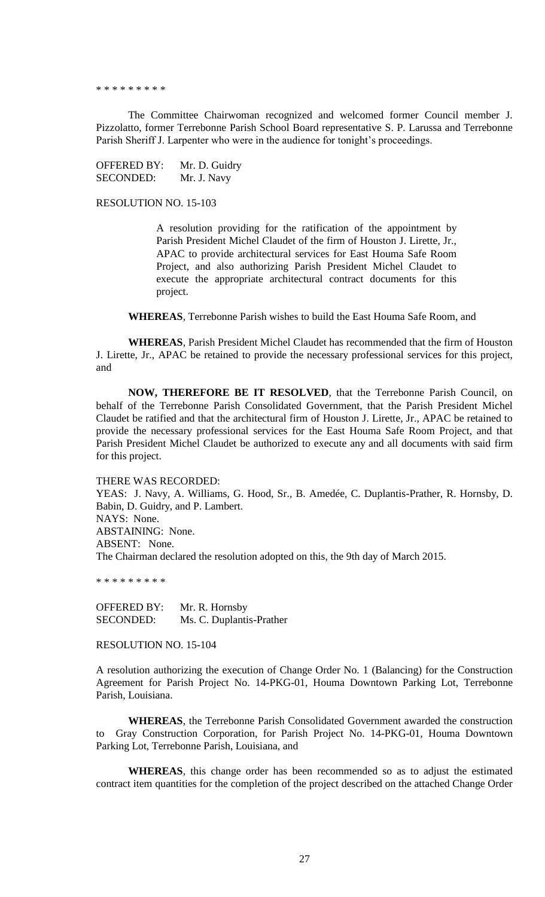#### \* \* \* \* \* \* \* \* \*

The Committee Chairwoman recognized and welcomed former Council member J. Pizzolatto, former Terrebonne Parish School Board representative S. P. Larussa and Terrebonne Parish Sheriff J. Larpenter who were in the audience for tonight's proceedings.

OFFERED BY: Mr. D. Guidry SECONDED: Mr. J. Navy

RESOLUTION NO. 15-103

A resolution providing for the ratification of the appointment by Parish President Michel Claudet of the firm of Houston J. Lirette, Jr., APAC to provide architectural services for East Houma Safe Room Project, and also authorizing Parish President Michel Claudet to execute the appropriate architectural contract documents for this project.

**WHEREAS**, Terrebonne Parish wishes to build the East Houma Safe Room, and

**WHEREAS**, Parish President Michel Claudet has recommended that the firm of Houston J. Lirette, Jr., APAC be retained to provide the necessary professional services for this project, and

**NOW, THEREFORE BE IT RESOLVED**, that the Terrebonne Parish Council, on behalf of the Terrebonne Parish Consolidated Government, that the Parish President Michel Claudet be ratified and that the architectural firm of Houston J. Lirette, Jr., APAC be retained to provide the necessary professional services for the East Houma Safe Room Project, and that Parish President Michel Claudet be authorized to execute any and all documents with said firm for this project.

#### THERE WAS RECORDED:

YEAS: J. Navy, A. Williams, G. Hood, Sr., B. Amedée, C. Duplantis-Prather, R. Hornsby, D. Babin, D. Guidry, and P. Lambert. NAYS: None. ABSTAINING: None. ABSENT: None. The Chairman declared the resolution adopted on this, the 9th day of March 2015.

\* \* \* \* \* \* \* \* \*

OFFERED BY: Mr. R. Hornsby SECONDED: Ms. C. Duplantis-Prather

RESOLUTION NO. 15-104

A resolution authorizing the execution of Change Order No. 1 (Balancing) for the Construction Agreement for Parish Project No. 14-PKG-01, Houma Downtown Parking Lot, Terrebonne Parish, Louisiana.

**WHEREAS**, the Terrebonne Parish Consolidated Government awarded the construction to Gray Construction Corporation, for Parish Project No. 14-PKG-01, Houma Downtown Parking Lot, Terrebonne Parish, Louisiana, and

**WHEREAS**, this change order has been recommended so as to adjust the estimated contract item quantities for the completion of the project described on the attached Change Order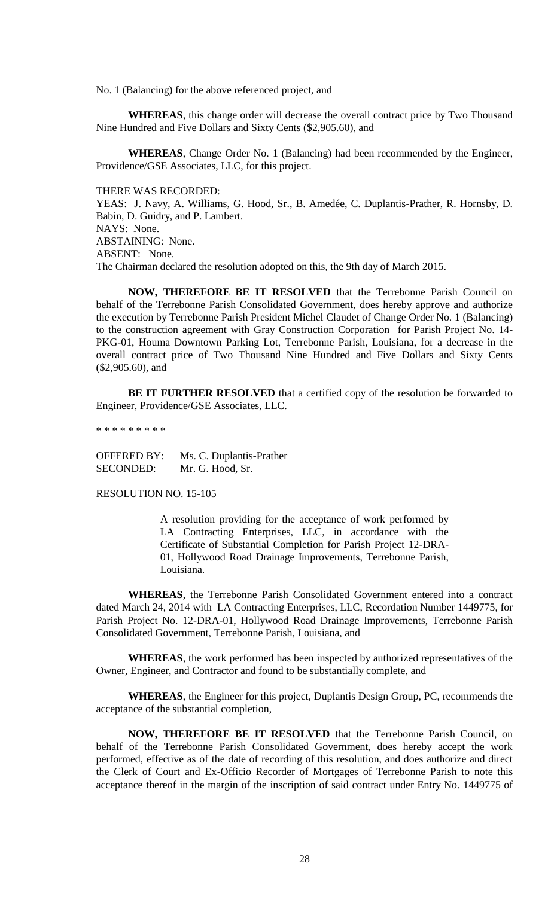No. 1 (Balancing) for the above referenced project, and

**WHEREAS**, this change order will decrease the overall contract price by Two Thousand Nine Hundred and Five Dollars and Sixty Cents (\$2,905.60), and

**WHEREAS**, Change Order No. 1 (Balancing) had been recommended by the Engineer, Providence/GSE Associates, LLC, for this project.

THERE WAS RECORDED:

YEAS: J. Navy, A. Williams, G. Hood, Sr., B. Amedée, C. Duplantis-Prather, R. Hornsby, D. Babin, D. Guidry, and P. Lambert. NAYS: None. ABSTAINING: None. ABSENT: None. The Chairman declared the resolution adopted on this, the 9th day of March 2015.

**NOW, THEREFORE BE IT RESOLVED** that the Terrebonne Parish Council on behalf of the Terrebonne Parish Consolidated Government, does hereby approve and authorize the execution by Terrebonne Parish President Michel Claudet of Change Order No. 1 (Balancing) to the construction agreement with Gray Construction Corporation for Parish Project No. 14- PKG-01, Houma Downtown Parking Lot, Terrebonne Parish, Louisiana, for a decrease in the overall contract price of Two Thousand Nine Hundred and Five Dollars and Sixty Cents (\$2,905.60), and

**BE IT FURTHER RESOLVED** that a certified copy of the resolution be forwarded to Engineer, Providence/GSE Associates, LLC.

\* \* \* \* \* \* \* \* \*

OFFERED BY: Ms. C. Duplantis-Prather SECONDED: Mr. G. Hood, Sr.

RESOLUTION NO. 15-105

A resolution providing for the acceptance of work performed by LA Contracting Enterprises, LLC, in accordance with the Certificate of Substantial Completion for Parish Project 12-DRA-01, Hollywood Road Drainage Improvements, Terrebonne Parish, Louisiana.

**WHEREAS**, the Terrebonne Parish Consolidated Government entered into a contract dated March 24, 2014 with LA Contracting Enterprises, LLC, Recordation Number 1449775, for Parish Project No. 12-DRA-01, Hollywood Road Drainage Improvements, Terrebonne Parish Consolidated Government, Terrebonne Parish, Louisiana, and

**WHEREAS**, the work performed has been inspected by authorized representatives of the Owner, Engineer, and Contractor and found to be substantially complete, and

**WHEREAS**, the Engineer for this project, Duplantis Design Group, PC, recommends the acceptance of the substantial completion,

**NOW, THEREFORE BE IT RESOLVED** that the Terrebonne Parish Council, on behalf of the Terrebonne Parish Consolidated Government, does hereby accept the work performed, effective as of the date of recording of this resolution, and does authorize and direct the Clerk of Court and Ex-Officio Recorder of Mortgages of Terrebonne Parish to note this acceptance thereof in the margin of the inscription of said contract under Entry No. 1449775 of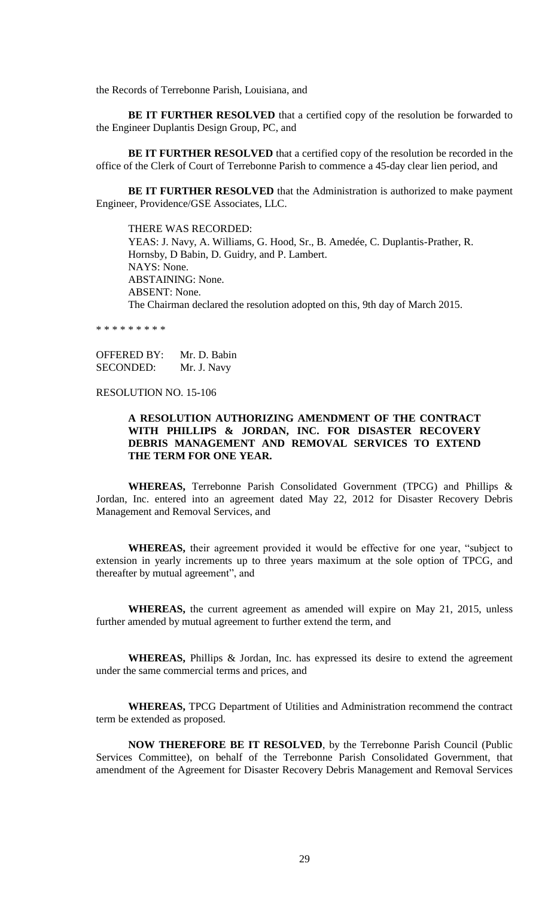the Records of Terrebonne Parish, Louisiana, and

**BE IT FURTHER RESOLVED** that a certified copy of the resolution be forwarded to the Engineer Duplantis Design Group, PC, and

**BE IT FURTHER RESOLVED** that a certified copy of the resolution be recorded in the office of the Clerk of Court of Terrebonne Parish to commence a 45-day clear lien period, and

**BE IT FURTHER RESOLVED** that the Administration is authorized to make payment Engineer, Providence/GSE Associates, LLC.

THERE WAS RECORDED: YEAS: J. Navy, A. Williams, G. Hood, Sr., B. Amedée, C. Duplantis-Prather, R. Hornsby, D Babin, D. Guidry, and P. Lambert. NAYS: None. ABSTAINING: None. ABSENT: None. The Chairman declared the resolution adopted on this, 9th day of March 2015.

\* \* \* \* \* \* \* \* \*

OFFERED BY: Mr. D. Babin SECONDED: Mr. J. Navy

### RESOLUTION NO. 15-106

## **A RESOLUTION AUTHORIZING AMENDMENT OF THE CONTRACT WITH PHILLIPS & JORDAN, INC. FOR DISASTER RECOVERY DEBRIS MANAGEMENT AND REMOVAL SERVICES TO EXTEND THE TERM FOR ONE YEAR.**

**WHEREAS,** Terrebonne Parish Consolidated Government (TPCG) and Phillips & Jordan, Inc. entered into an agreement dated May 22, 2012 for Disaster Recovery Debris Management and Removal Services, and

**WHEREAS,** their agreement provided it would be effective for one year, "subject to extension in yearly increments up to three years maximum at the sole option of TPCG, and thereafter by mutual agreement", and

**WHEREAS,** the current agreement as amended will expire on May 21, 2015, unless further amended by mutual agreement to further extend the term, and

**WHEREAS,** Phillips & Jordan, Inc. has expressed its desire to extend the agreement under the same commercial terms and prices, and

**WHEREAS,** TPCG Department of Utilities and Administration recommend the contract term be extended as proposed.

**NOW THEREFORE BE IT RESOLVED**, by the Terrebonne Parish Council (Public Services Committee), on behalf of the Terrebonne Parish Consolidated Government, that amendment of the Agreement for Disaster Recovery Debris Management and Removal Services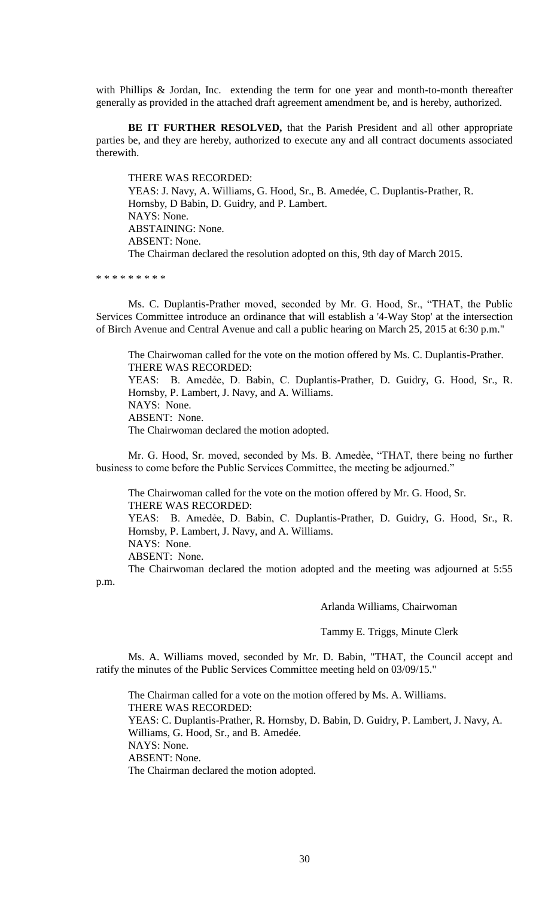with Phillips & Jordan, Inc. extending the term for one year and month-to-month thereafter generally as provided in the attached draft agreement amendment be, and is hereby, authorized.

**BE IT FURTHER RESOLVED,** that the Parish President and all other appropriate parties be, and they are hereby, authorized to execute any and all contract documents associated therewith.

THERE WAS RECORDED: YEAS: J. Navy, A. Williams, G. Hood, Sr., B. Amedée, C. Duplantis-Prather, R. Hornsby, D Babin, D. Guidry, and P. Lambert. NAYS: None. ABSTAINING: None. ABSENT: None. The Chairman declared the resolution adopted on this, 9th day of March 2015.

\* \* \* \* \* \* \* \* \*

Ms. C. Duplantis-Prather moved, seconded by Mr. G. Hood, Sr., "THAT, the Public Services Committee introduce an ordinance that will establish a '4-Way Stop' at the intersection of Birch Avenue and Central Avenue and call a public hearing on March 25, 2015 at 6:30 p.m."

The Chairwoman called for the vote on the motion offered by Ms. C. Duplantis-Prather. THERE WAS RECORDED: YEAS: B. Amedẻe, D. Babin, C. Duplantis-Prather, D. Guidry, G. Hood, Sr., R. Hornsby, P. Lambert, J. Navy, and A. Williams. NAYS: None. ABSENT: None. The Chairwoman declared the motion adopted.

Mr. G. Hood, Sr. moved, seconded by Ms. B. Amedѐe, "THAT, there being no further business to come before the Public Services Committee, the meeting be adjourned."

The Chairwoman called for the vote on the motion offered by Mr. G. Hood, Sr. THERE WAS RECORDED: YEAS: B. Amedẻe, D. Babin, C. Duplantis-Prather, D. Guidry, G. Hood, Sr., R.

Hornsby, P. Lambert, J. Navy, and A. Williams.

NAYS: None.

ABSENT: None.

The Chairwoman declared the motion adopted and the meeting was adjourned at 5:55 p.m.

Arlanda Williams, Chairwoman

Tammy E. Triggs, Minute Clerk

Ms. A. Williams moved, seconded by Mr. D. Babin, "THAT, the Council accept and ratify the minutes of the Public Services Committee meeting held on 03/09/15."

The Chairman called for a vote on the motion offered by Ms. A. Williams. THERE WAS RECORDED: YEAS: C. Duplantis-Prather, R. Hornsby, D. Babin, D. Guidry, P. Lambert, J. Navy, A. Williams, G. Hood, Sr., and B. Amedée. NAYS: None. ABSENT: None. The Chairman declared the motion adopted.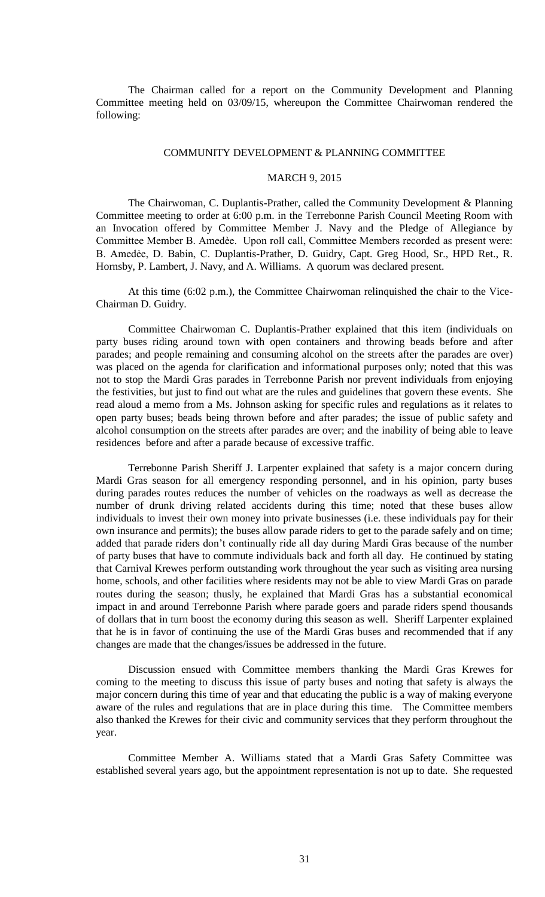The Chairman called for a report on the Community Development and Planning Committee meeting held on 03/09/15, whereupon the Committee Chairwoman rendered the following:

#### COMMUNITY DEVELOPMENT & PLANNING COMMITTEE

## MARCH 9, 2015

The Chairwoman, C. Duplantis-Prather, called the Community Development & Planning Committee meeting to order at 6:00 p.m. in the Terrebonne Parish Council Meeting Room with an Invocation offered by Committee Member J. Navy and the Pledge of Allegiance by Committee Member B. Amedѐe. Upon roll call, Committee Members recorded as present were: B. Amedẻe, D. Babin, C. Duplantis-Prather, D. Guidry, Capt. Greg Hood, Sr., HPD Ret., R. Hornsby, P. Lambert, J. Navy, and A. Williams. A quorum was declared present.

At this time (6:02 p.m.), the Committee Chairwoman relinquished the chair to the Vice-Chairman D. Guidry.

Committee Chairwoman C. Duplantis-Prather explained that this item (individuals on party buses riding around town with open containers and throwing beads before and after parades; and people remaining and consuming alcohol on the streets after the parades are over) was placed on the agenda for clarification and informational purposes only; noted that this was not to stop the Mardi Gras parades in Terrebonne Parish nor prevent individuals from enjoying the festivities, but just to find out what are the rules and guidelines that govern these events. She read aloud a memo from a Ms. Johnson asking for specific rules and regulations as it relates to open party buses; beads being thrown before and after parades; the issue of public safety and alcohol consumption on the streets after parades are over; and the inability of being able to leave residences before and after a parade because of excessive traffic.

Terrebonne Parish Sheriff J. Larpenter explained that safety is a major concern during Mardi Gras season for all emergency responding personnel, and in his opinion, party buses during parades routes reduces the number of vehicles on the roadways as well as decrease the number of drunk driving related accidents during this time; noted that these buses allow individuals to invest their own money into private businesses (i.e. these individuals pay for their own insurance and permits); the buses allow parade riders to get to the parade safely and on time; added that parade riders don't continually ride all day during Mardi Gras because of the number of party buses that have to commute individuals back and forth all day. He continued by stating that Carnival Krewes perform outstanding work throughout the year such as visiting area nursing home, schools, and other facilities where residents may not be able to view Mardi Gras on parade routes during the season; thusly, he explained that Mardi Gras has a substantial economical impact in and around Terrebonne Parish where parade goers and parade riders spend thousands of dollars that in turn boost the economy during this season as well. Sheriff Larpenter explained that he is in favor of continuing the use of the Mardi Gras buses and recommended that if any changes are made that the changes/issues be addressed in the future.

Discussion ensued with Committee members thanking the Mardi Gras Krewes for coming to the meeting to discuss this issue of party buses and noting that safety is always the major concern during this time of year and that educating the public is a way of making everyone aware of the rules and regulations that are in place during this time. The Committee members also thanked the Krewes for their civic and community services that they perform throughout the year.

Committee Member A. Williams stated that a Mardi Gras Safety Committee was established several years ago, but the appointment representation is not up to date. She requested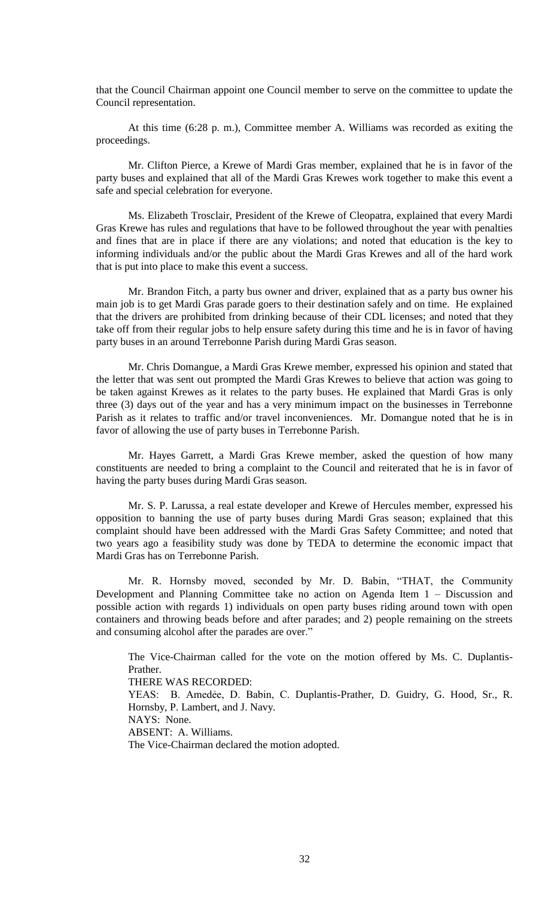that the Council Chairman appoint one Council member to serve on the committee to update the Council representation.

At this time (6:28 p. m.), Committee member A. Williams was recorded as exiting the proceedings.

Mr. Clifton Pierce, a Krewe of Mardi Gras member, explained that he is in favor of the party buses and explained that all of the Mardi Gras Krewes work together to make this event a safe and special celebration for everyone.

Ms. Elizabeth Trosclair, President of the Krewe of Cleopatra, explained that every Mardi Gras Krewe has rules and regulations that have to be followed throughout the year with penalties and fines that are in place if there are any violations; and noted that education is the key to informing individuals and/or the public about the Mardi Gras Krewes and all of the hard work that is put into place to make this event a success.

Mr. Brandon Fitch, a party bus owner and driver, explained that as a party bus owner his main job is to get Mardi Gras parade goers to their destination safely and on time. He explained that the drivers are prohibited from drinking because of their CDL licenses; and noted that they take off from their regular jobs to help ensure safety during this time and he is in favor of having party buses in an around Terrebonne Parish during Mardi Gras season.

Mr. Chris Domangue, a Mardi Gras Krewe member, expressed his opinion and stated that the letter that was sent out prompted the Mardi Gras Krewes to believe that action was going to be taken against Krewes as it relates to the party buses. He explained that Mardi Gras is only three (3) days out of the year and has a very minimum impact on the businesses in Terrebonne Parish as it relates to traffic and/or travel inconveniences. Mr. Domangue noted that he is in favor of allowing the use of party buses in Terrebonne Parish.

Mr. Hayes Garrett, a Mardi Gras Krewe member, asked the question of how many constituents are needed to bring a complaint to the Council and reiterated that he is in favor of having the party buses during Mardi Gras season.

Mr. S. P. Larussa, a real estate developer and Krewe of Hercules member, expressed his opposition to banning the use of party buses during Mardi Gras season; explained that this complaint should have been addressed with the Mardi Gras Safety Committee; and noted that two years ago a feasibility study was done by TEDA to determine the economic impact that Mardi Gras has on Terrebonne Parish.

Mr. R. Hornsby moved, seconded by Mr. D. Babin, "THAT, the Community Development and Planning Committee take no action on Agenda Item 1 – Discussion and possible action with regards 1) individuals on open party buses riding around town with open containers and throwing beads before and after parades; and 2) people remaining on the streets and consuming alcohol after the parades are over."

The Vice-Chairman called for the vote on the motion offered by Ms. C. Duplantis-Prather.

THERE WAS RECORDED:

YEAS: B. Amedẻe, D. Babin, C. Duplantis-Prather, D. Guidry, G. Hood, Sr., R. Hornsby, P. Lambert, and J. Navy.

NAYS: None.

ABSENT: A. Williams.

The Vice-Chairman declared the motion adopted.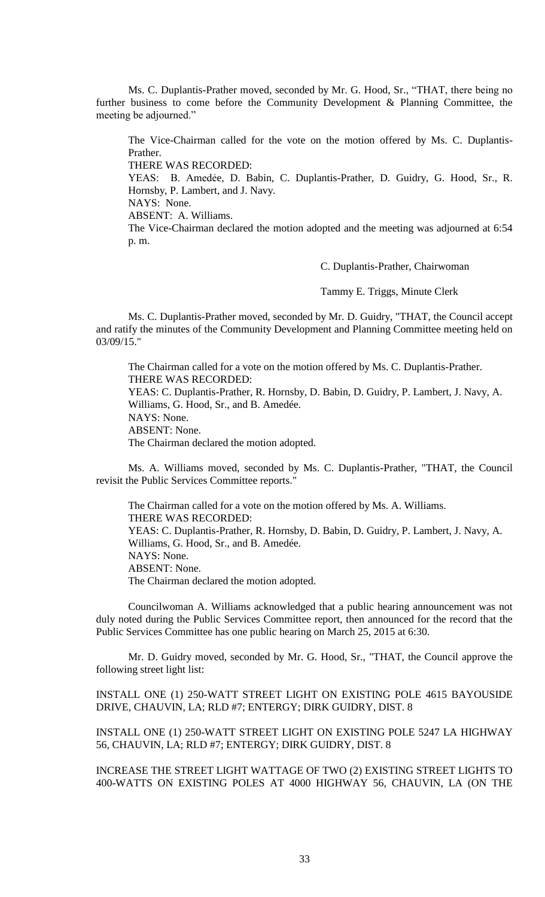Ms. C. Duplantis-Prather moved, seconded by Mr. G. Hood, Sr., "THAT, there being no further business to come before the Community Development & Planning Committee, the meeting be adjourned."

The Vice-Chairman called for the vote on the motion offered by Ms. C. Duplantis-Prather. THERE WAS RECORDED: YEAS: B. Amedẻe, D. Babin, C. Duplantis-Prather, D. Guidry, G. Hood, Sr., R. Hornsby, P. Lambert, and J. Navy. NAYS: None. ABSENT: A. Williams. The Vice-Chairman declared the motion adopted and the meeting was adjourned at 6:54 p. m.

C. Duplantis-Prather, Chairwoman

Tammy E. Triggs, Minute Clerk

Ms. C. Duplantis-Prather moved, seconded by Mr. D. Guidry, "THAT, the Council accept and ratify the minutes of the Community Development and Planning Committee meeting held on 03/09/15."

The Chairman called for a vote on the motion offered by Ms. C. Duplantis-Prather. THERE WAS RECORDED: YEAS: C. Duplantis-Prather, R. Hornsby, D. Babin, D. Guidry, P. Lambert, J. Navy, A. Williams, G. Hood, Sr., and B. Amedée. NAYS: None. ABSENT: None. The Chairman declared the motion adopted.

Ms. A. Williams moved, seconded by Ms. C. Duplantis-Prather, "THAT, the Council revisit the Public Services Committee reports."

The Chairman called for a vote on the motion offered by Ms. A. Williams. THERE WAS RECORDED: YEAS: C. Duplantis-Prather, R. Hornsby, D. Babin, D. Guidry, P. Lambert, J. Navy, A. Williams, G. Hood, Sr., and B. Amedée. NAYS: None. ABSENT: None. The Chairman declared the motion adopted.

Councilwoman A. Williams acknowledged that a public hearing announcement was not duly noted during the Public Services Committee report, then announced for the record that the Public Services Committee has one public hearing on March 25, 2015 at 6:30.

Mr. D. Guidry moved, seconded by Mr. G. Hood, Sr., "THAT, the Council approve the following street light list:

INSTALL ONE (1) 250-WATT STREET LIGHT ON EXISTING POLE 4615 BAYOUSIDE DRIVE, CHAUVIN, LA; RLD #7; ENTERGY; DIRK GUIDRY, DIST. 8

INSTALL ONE (1) 250-WATT STREET LIGHT ON EXISTING POLE 5247 LA HIGHWAY 56, CHAUVIN, LA; RLD #7; ENTERGY; DIRK GUIDRY, DIST. 8

INCREASE THE STREET LIGHT WATTAGE OF TWO (2) EXISTING STREET LIGHTS TO 400-WATTS ON EXISTING POLES AT 4000 HIGHWAY 56, CHAUVIN, LA (ON THE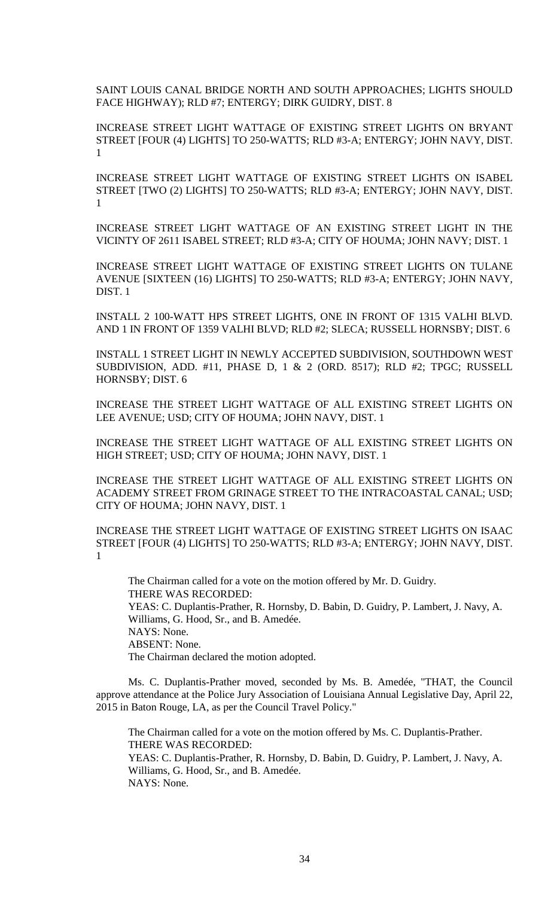SAINT LOUIS CANAL BRIDGE NORTH AND SOUTH APPROACHES; LIGHTS SHOULD FACE HIGHWAY); RLD #7; ENTERGY; DIRK GUIDRY, DIST. 8

INCREASE STREET LIGHT WATTAGE OF EXISTING STREET LIGHTS ON BRYANT STREET [FOUR (4) LIGHTS] TO 250-WATTS; RLD #3-A; ENTERGY; JOHN NAVY, DIST. 1

INCREASE STREET LIGHT WATTAGE OF EXISTING STREET LIGHTS ON ISABEL STREET [TWO (2) LIGHTS] TO 250-WATTS; RLD #3-A; ENTERGY; JOHN NAVY, DIST. 1

INCREASE STREET LIGHT WATTAGE OF AN EXISTING STREET LIGHT IN THE VICINTY OF 2611 ISABEL STREET; RLD #3-A; CITY OF HOUMA; JOHN NAVY; DIST. 1

INCREASE STREET LIGHT WATTAGE OF EXISTING STREET LIGHTS ON TULANE AVENUE [SIXTEEN (16) LIGHTS] TO 250-WATTS; RLD #3-A; ENTERGY; JOHN NAVY, DIST. 1

INSTALL 2 100-WATT HPS STREET LIGHTS, ONE IN FRONT OF 1315 VALHI BLVD. AND 1 IN FRONT OF 1359 VALHI BLVD; RLD #2; SLECA; RUSSELL HORNSBY; DIST. 6

INSTALL 1 STREET LIGHT IN NEWLY ACCEPTED SUBDIVISION, SOUTHDOWN WEST SUBDIVISION, ADD. #11, PHASE D, 1 & 2 (ORD. 8517); RLD #2; TPGC; RUSSELL HORNSBY; DIST. 6

INCREASE THE STREET LIGHT WATTAGE OF ALL EXISTING STREET LIGHTS ON LEE AVENUE; USD; CITY OF HOUMA; JOHN NAVY, DIST. 1

INCREASE THE STREET LIGHT WATTAGE OF ALL EXISTING STREET LIGHTS ON HIGH STREET; USD; CITY OF HOUMA; JOHN NAVY, DIST. 1

INCREASE THE STREET LIGHT WATTAGE OF ALL EXISTING STREET LIGHTS ON ACADEMY STREET FROM GRINAGE STREET TO THE INTRACOASTAL CANAL; USD; CITY OF HOUMA; JOHN NAVY, DIST. 1

INCREASE THE STREET LIGHT WATTAGE OF EXISTING STREET LIGHTS ON ISAAC STREET [FOUR (4) LIGHTS] TO 250-WATTS; RLD #3-A; ENTERGY; JOHN NAVY, DIST. 1

The Chairman called for a vote on the motion offered by Mr. D. Guidry. THERE WAS RECORDED: YEAS: C. Duplantis-Prather, R. Hornsby, D. Babin, D. Guidry, P. Lambert, J. Navy, A. Williams, G. Hood, Sr., and B. Amedée. NAYS: None. ABSENT: None. The Chairman declared the motion adopted.

Ms. C. Duplantis-Prather moved, seconded by Ms. B. Amedée, "THAT, the Council approve attendance at the Police Jury Association of Louisiana Annual Legislative Day, April 22, 2015 in Baton Rouge, LA, as per the Council Travel Policy."

The Chairman called for a vote on the motion offered by Ms. C. Duplantis-Prather. THERE WAS RECORDED: YEAS: C. Duplantis-Prather, R. Hornsby, D. Babin, D. Guidry, P. Lambert, J. Navy, A. Williams, G. Hood, Sr., and B. Amedée. NAYS: None.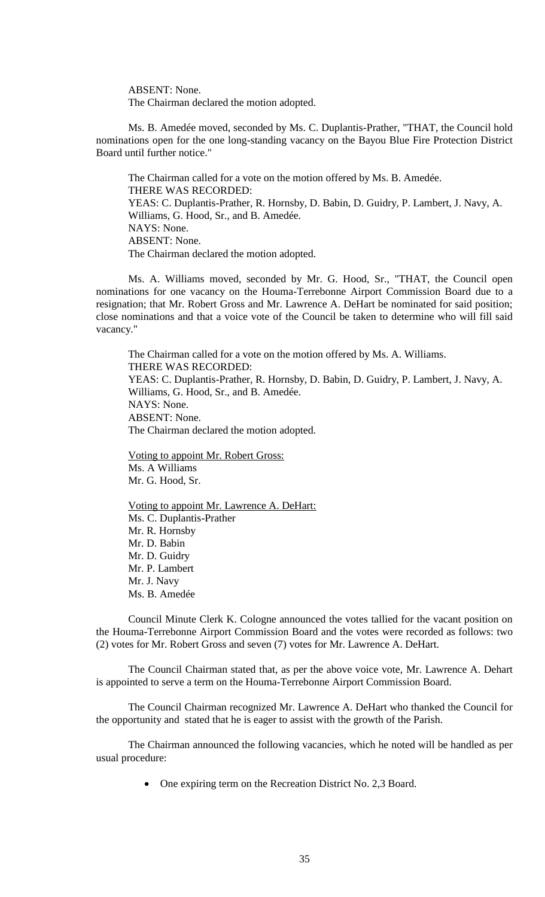ABSENT: None. The Chairman declared the motion adopted.

Ms. B. Amedée moved, seconded by Ms. C. Duplantis-Prather, "THAT, the Council hold nominations open for the one long-standing vacancy on the Bayou Blue Fire Protection District Board until further notice."

The Chairman called for a vote on the motion offered by Ms. B. Amedée. THERE WAS RECORDED: YEAS: C. Duplantis-Prather, R. Hornsby, D. Babin, D. Guidry, P. Lambert, J. Navy, A. Williams, G. Hood, Sr., and B. Amedée. NAYS: None. ABSENT: None. The Chairman declared the motion adopted.

Ms. A. Williams moved, seconded by Mr. G. Hood, Sr., "THAT, the Council open nominations for one vacancy on the Houma-Terrebonne Airport Commission Board due to a resignation; that Mr. Robert Gross and Mr. Lawrence A. DeHart be nominated for said position; close nominations and that a voice vote of the Council be taken to determine who will fill said vacancy."

The Chairman called for a vote on the motion offered by Ms. A. Williams. THERE WAS RECORDED: YEAS: C. Duplantis-Prather, R. Hornsby, D. Babin, D. Guidry, P. Lambert, J. Navy, A. Williams, G. Hood, Sr., and B. Amedée. NAYS: None. ABSENT: None. The Chairman declared the motion adopted.

Voting to appoint Mr. Robert Gross: Ms. A Williams Mr. G. Hood, Sr.

Voting to appoint Mr. Lawrence A. DeHart: Ms. C. Duplantis-Prather Mr. R. Hornsby Mr. D. Babin Mr. D. Guidry Mr. P. Lambert Mr. J. Navy Ms. B. Amedée

Council Minute Clerk K. Cologne announced the votes tallied for the vacant position on the Houma-Terrebonne Airport Commission Board and the votes were recorded as follows: two (2) votes for Mr. Robert Gross and seven (7) votes for Mr. Lawrence A. DeHart.

The Council Chairman stated that, as per the above voice vote, Mr. Lawrence A. Dehart is appointed to serve a term on the Houma-Terrebonne Airport Commission Board.

The Council Chairman recognized Mr. Lawrence A. DeHart who thanked the Council for the opportunity and stated that he is eager to assist with the growth of the Parish.

The Chairman announced the following vacancies, which he noted will be handled as per usual procedure:

• One expiring term on the Recreation District No. 2,3 Board.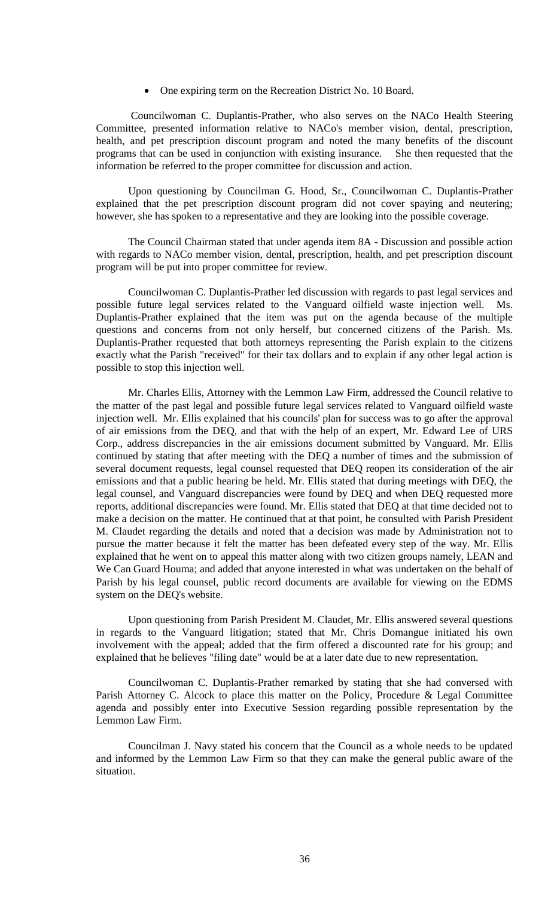• One expiring term on the Recreation District No. 10 Board.

Councilwoman C. Duplantis-Prather, who also serves on the NACo Health Steering Committee, presented information relative to NACo's member vision, dental, prescription, health, and pet prescription discount program and noted the many benefits of the discount programs that can be used in conjunction with existing insurance. She then requested that the information be referred to the proper committee for discussion and action.

Upon questioning by Councilman G. Hood, Sr., Councilwoman C. Duplantis-Prather explained that the pet prescription discount program did not cover spaying and neutering; however, she has spoken to a representative and they are looking into the possible coverage.

The Council Chairman stated that under agenda item 8A - Discussion and possible action with regards to NACo member vision, dental, prescription, health, and pet prescription discount program will be put into proper committee for review.

Councilwoman C. Duplantis-Prather led discussion with regards to past legal services and possible future legal services related to the Vanguard oilfield waste injection well. Ms. Duplantis-Prather explained that the item was put on the agenda because of the multiple questions and concerns from not only herself, but concerned citizens of the Parish. Ms. Duplantis-Prather requested that both attorneys representing the Parish explain to the citizens exactly what the Parish "received" for their tax dollars and to explain if any other legal action is possible to stop this injection well.

Mr. Charles Ellis, Attorney with the Lemmon Law Firm, addressed the Council relative to the matter of the past legal and possible future legal services related to Vanguard oilfield waste injection well. Mr. Ellis explained that his councils' plan for success was to go after the approval of air emissions from the DEQ, and that with the help of an expert, Mr. Edward Lee of URS Corp., address discrepancies in the air emissions document submitted by Vanguard. Mr. Ellis continued by stating that after meeting with the DEQ a number of times and the submission of several document requests, legal counsel requested that DEQ reopen its consideration of the air emissions and that a public hearing be held. Mr. Ellis stated that during meetings with DEQ, the legal counsel, and Vanguard discrepancies were found by DEQ and when DEQ requested more reports, additional discrepancies were found. Mr. Ellis stated that DEQ at that time decided not to make a decision on the matter. He continued that at that point, he consulted with Parish President M. Claudet regarding the details and noted that a decision was made by Administration not to pursue the matter because it felt the matter has been defeated every step of the way. Mr. Ellis explained that he went on to appeal this matter along with two citizen groups namely, LEAN and We Can Guard Houma; and added that anyone interested in what was undertaken on the behalf of Parish by his legal counsel, public record documents are available for viewing on the EDMS system on the DEQ's website.

Upon questioning from Parish President M. Claudet, Mr. Ellis answered several questions in regards to the Vanguard litigation; stated that Mr. Chris Domangue initiated his own involvement with the appeal; added that the firm offered a discounted rate for his group; and explained that he believes "filing date" would be at a later date due to new representation.

Councilwoman C. Duplantis-Prather remarked by stating that she had conversed with Parish Attorney C. Alcock to place this matter on the Policy, Procedure & Legal Committee agenda and possibly enter into Executive Session regarding possible representation by the Lemmon Law Firm.

Councilman J. Navy stated his concern that the Council as a whole needs to be updated and informed by the Lemmon Law Firm so that they can make the general public aware of the situation.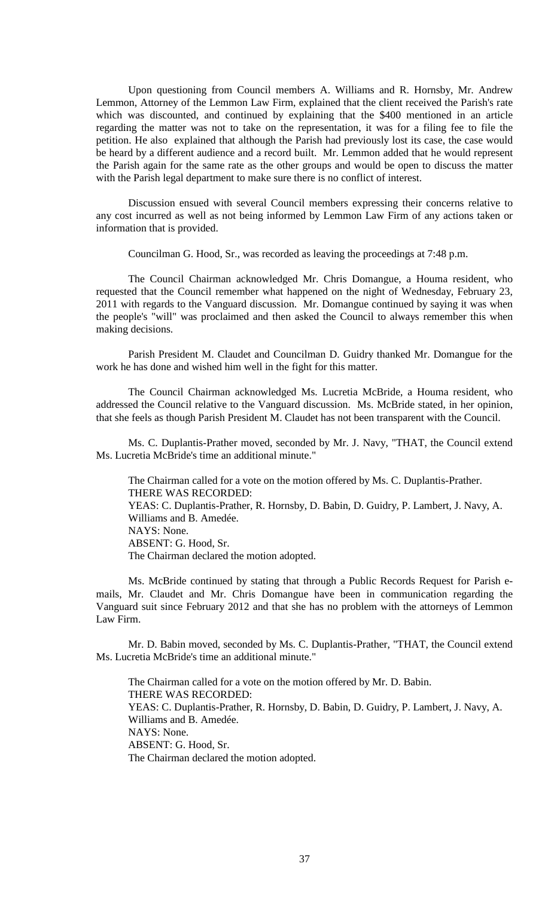Upon questioning from Council members A. Williams and R. Hornsby, Mr. Andrew Lemmon, Attorney of the Lemmon Law Firm, explained that the client received the Parish's rate which was discounted, and continued by explaining that the \$400 mentioned in an article regarding the matter was not to take on the representation, it was for a filing fee to file the petition. He also explained that although the Parish had previously lost its case, the case would be heard by a different audience and a record built. Mr. Lemmon added that he would represent the Parish again for the same rate as the other groups and would be open to discuss the matter with the Parish legal department to make sure there is no conflict of interest.

Discussion ensued with several Council members expressing their concerns relative to any cost incurred as well as not being informed by Lemmon Law Firm of any actions taken or information that is provided.

Councilman G. Hood, Sr., was recorded as leaving the proceedings at 7:48 p.m.

The Council Chairman acknowledged Mr. Chris Domangue, a Houma resident, who requested that the Council remember what happened on the night of Wednesday, February 23, 2011 with regards to the Vanguard discussion. Mr. Domangue continued by saying it was when the people's "will" was proclaimed and then asked the Council to always remember this when making decisions.

Parish President M. Claudet and Councilman D. Guidry thanked Mr. Domangue for the work he has done and wished him well in the fight for this matter.

The Council Chairman acknowledged Ms. Lucretia McBride, a Houma resident, who addressed the Council relative to the Vanguard discussion. Ms. McBride stated, in her opinion, that she feels as though Parish President M. Claudet has not been transparent with the Council.

Ms. C. Duplantis-Prather moved, seconded by Mr. J. Navy, "THAT, the Council extend Ms. Lucretia McBride's time an additional minute."

The Chairman called for a vote on the motion offered by Ms. C. Duplantis-Prather. THERE WAS RECORDED: YEAS: C. Duplantis-Prather, R. Hornsby, D. Babin, D. Guidry, P. Lambert, J. Navy, A. Williams and B. Amedée. NAYS: None. ABSENT: G. Hood, Sr. The Chairman declared the motion adopted.

Ms. McBride continued by stating that through a Public Records Request for Parish emails, Mr. Claudet and Mr. Chris Domangue have been in communication regarding the Vanguard suit since February 2012 and that she has no problem with the attorneys of Lemmon Law Firm.

Mr. D. Babin moved, seconded by Ms. C. Duplantis-Prather, "THAT, the Council extend Ms. Lucretia McBride's time an additional minute."

The Chairman called for a vote on the motion offered by Mr. D. Babin. THERE WAS RECORDED: YEAS: C. Duplantis-Prather, R. Hornsby, D. Babin, D. Guidry, P. Lambert, J. Navy, A. Williams and B. Amedée. NAYS: None. ABSENT: G. Hood, Sr. The Chairman declared the motion adopted.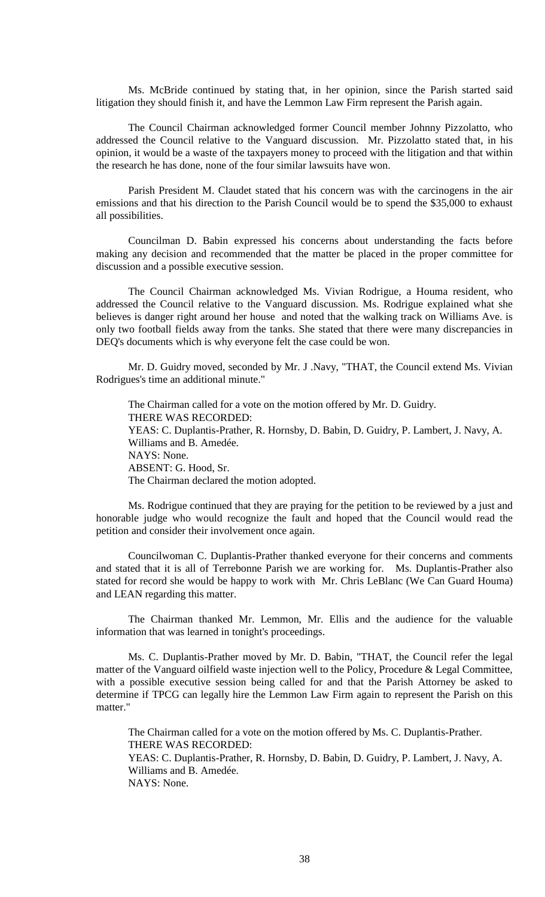Ms. McBride continued by stating that, in her opinion, since the Parish started said litigation they should finish it, and have the Lemmon Law Firm represent the Parish again.

The Council Chairman acknowledged former Council member Johnny Pizzolatto, who addressed the Council relative to the Vanguard discussion. Mr. Pizzolatto stated that, in his opinion, it would be a waste of the taxpayers money to proceed with the litigation and that within the research he has done, none of the four similar lawsuits have won.

Parish President M. Claudet stated that his concern was with the carcinogens in the air emissions and that his direction to the Parish Council would be to spend the \$35,000 to exhaust all possibilities.

Councilman D. Babin expressed his concerns about understanding the facts before making any decision and recommended that the matter be placed in the proper committee for discussion and a possible executive session.

The Council Chairman acknowledged Ms. Vivian Rodrigue, a Houma resident, who addressed the Council relative to the Vanguard discussion. Ms. Rodrigue explained what she believes is danger right around her house and noted that the walking track on Williams Ave. is only two football fields away from the tanks. She stated that there were many discrepancies in DEQ's documents which is why everyone felt the case could be won.

Mr. D. Guidry moved, seconded by Mr. J .Navy, "THAT, the Council extend Ms. Vivian Rodrigues's time an additional minute."

The Chairman called for a vote on the motion offered by Mr. D. Guidry. THERE WAS RECORDED: YEAS: C. Duplantis-Prather, R. Hornsby, D. Babin, D. Guidry, P. Lambert, J. Navy, A. Williams and B. Amedée. NAYS: None. ABSENT: G. Hood, Sr. The Chairman declared the motion adopted.

Ms. Rodrigue continued that they are praying for the petition to be reviewed by a just and honorable judge who would recognize the fault and hoped that the Council would read the petition and consider their involvement once again.

Councilwoman C. Duplantis-Prather thanked everyone for their concerns and comments and stated that it is all of Terrebonne Parish we are working for. Ms. Duplantis-Prather also stated for record she would be happy to work with Mr. Chris LeBlanc (We Can Guard Houma) and LEAN regarding this matter.

The Chairman thanked Mr. Lemmon, Mr. Ellis and the audience for the valuable information that was learned in tonight's proceedings.

Ms. C. Duplantis-Prather moved by Mr. D. Babin, "THAT, the Council refer the legal matter of the Vanguard oilfield waste injection well to the Policy, Procedure & Legal Committee, with a possible executive session being called for and that the Parish Attorney be asked to determine if TPCG can legally hire the Lemmon Law Firm again to represent the Parish on this matter."

The Chairman called for a vote on the motion offered by Ms. C. Duplantis-Prather. THERE WAS RECORDED: YEAS: C. Duplantis-Prather, R. Hornsby, D. Babin, D. Guidry, P. Lambert, J. Navy, A.

Williams and B. Amedée. NAYS: None.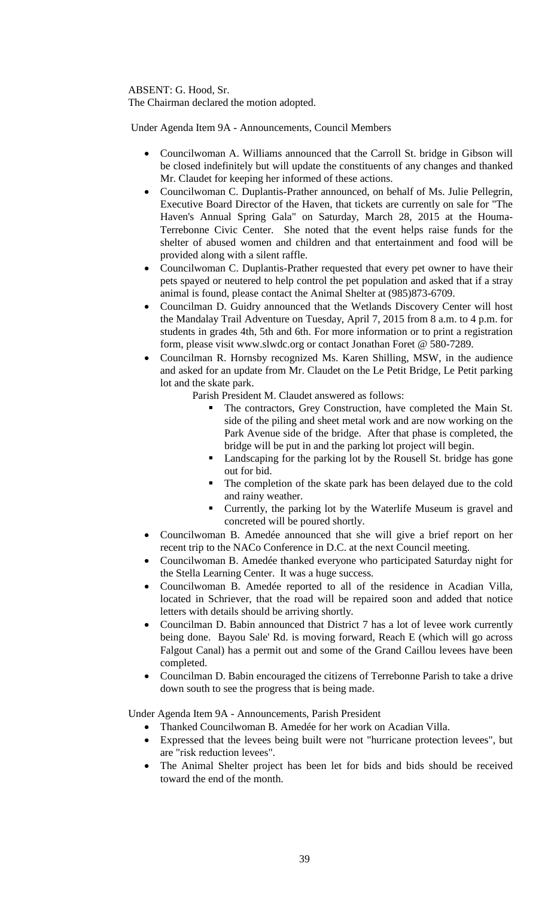ABSENT: G. Hood, Sr.

The Chairman declared the motion adopted.

Under Agenda Item 9A - Announcements, Council Members

- Councilwoman A. Williams announced that the Carroll St. bridge in Gibson will be closed indefinitely but will update the constituents of any changes and thanked Mr. Claudet for keeping her informed of these actions.
- Councilwoman C. Duplantis-Prather announced, on behalf of Ms. Julie Pellegrin, Executive Board Director of the Haven, that tickets are currently on sale for "The Haven's Annual Spring Gala" on Saturday, March 28, 2015 at the Houma-Terrebonne Civic Center. She noted that the event helps raise funds for the shelter of abused women and children and that entertainment and food will be provided along with a silent raffle.
- Councilwoman C. Duplantis-Prather requested that every pet owner to have their pets spayed or neutered to help control the pet population and asked that if a stray animal is found, please contact the Animal Shelter at (985)873-6709.
- Councilman D. Guidry announced that the Wetlands Discovery Center will host the Mandalay Trail Adventure on Tuesday, April 7, 2015 from 8 a.m. to 4 p.m. for students in grades 4th, 5th and 6th. For more information or to print a registration form, please visit www.slwdc.org or contact Jonathan Foret @ 580-7289.
- Councilman R. Hornsby recognized Ms. Karen Shilling, MSW, in the audience and asked for an update from Mr. Claudet on the Le Petit Bridge, Le Petit parking lot and the skate park.

Parish President M. Claudet answered as follows:

- The contractors, Grey Construction, have completed the Main St. side of the piling and sheet metal work and are now working on the Park Avenue side of the bridge. After that phase is completed, the bridge will be put in and the parking lot project will begin.
- Landscaping for the parking lot by the Rousell St. bridge has gone out for bid.
- The completion of the skate park has been delayed due to the cold and rainy weather.
- **Currently, the parking lot by the Waterlife Museum is gravel and** concreted will be poured shortly.
- Councilwoman B. Amedée announced that she will give a brief report on her recent trip to the NACo Conference in D.C. at the next Council meeting.
- Councilwoman B. Amedée thanked everyone who participated Saturday night for the Stella Learning Center. It was a huge success.
- Councilwoman B. Amedée reported to all of the residence in Acadian Villa, located in Schriever, that the road will be repaired soon and added that notice letters with details should be arriving shortly.
- Councilman D. Babin announced that District 7 has a lot of levee work currently being done. Bayou Sale' Rd. is moving forward, Reach E (which will go across Falgout Canal) has a permit out and some of the Grand Caillou levees have been completed.
- Councilman D. Babin encouraged the citizens of Terrebonne Parish to take a drive down south to see the progress that is being made.

Under Agenda Item 9A - Announcements, Parish President

- Thanked Councilwoman B. Amedée for her work on Acadian Villa.
- Expressed that the levees being built were not "hurricane protection levees", but are "risk reduction levees".
- The Animal Shelter project has been let for bids and bids should be received toward the end of the month.